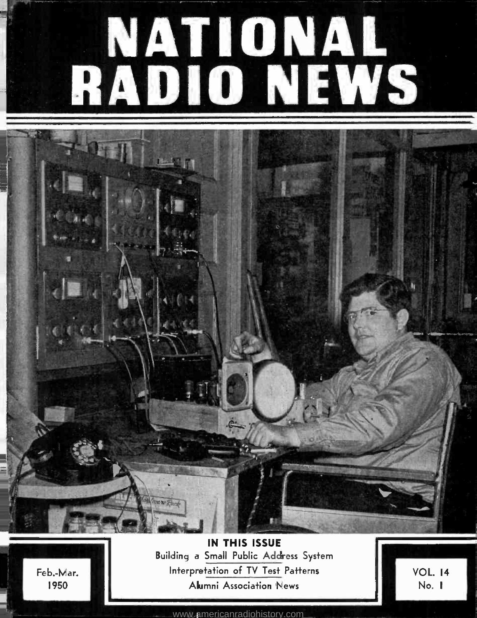# NATIONAL RADIO NEWS

工业店

Feb.-Mar. 1950

IN THIS ISSUE Building a Small Public Address System Interpretation of TV Test Patterns Alumni Association 'News

VOL. 14 No. I

<www.americanradiohistory.com>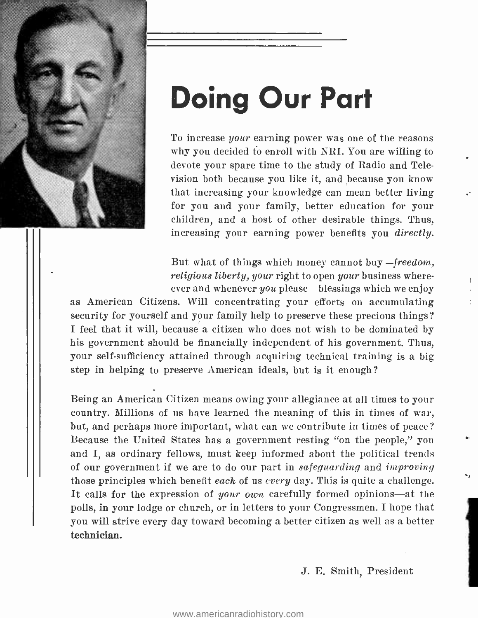

## Doing Our Part

To increase your earning power was one of the reasons why you decided to enroll with NRI. You are willing to devote your spare time to the study of Radio and Television both because you like it, and because you know that increasing your knowledge can mean better living for you and your family, better education for your children, and a host of other desirable things. Thus, increasing your earning power benefits you directly.

But what of things which money cannot buy—freedom, religious liberty, your right to open your business whereever and whenever  $you$  please—blessings which we enjoy

as American Citizens. Will concentrating your efforts on accumulating security for yourself and your family help to preserve these precious things? I feel that it will, because a citizen who does not wish to be dominated by his government should be financially independent of his government. Thus, your self-sufficiency attained through acquiring technical training is a big step in helping to preserve American ideals, but is it enough?

Being an American Citizen means owing your allegiance at all times to your country. Millions of us have learned the meaning of this in times of war, but, and perhaps more important, what can we contribute in times of peace? Because the United States has a government resting "on the people," you and I, as ordinary fellows, must keep informed about the political trends of our government if we are to do our part in safeguarding and improving those principles which benefit each of us every day. This is quite a challenge. It calls for the expression of your own carefully formed opinions-at the polls, in your lodge or church, or in letters to your Congressmen. I hope that you will strive every day toward becoming a better citizen as well as a better technician.

J. E. Smith, President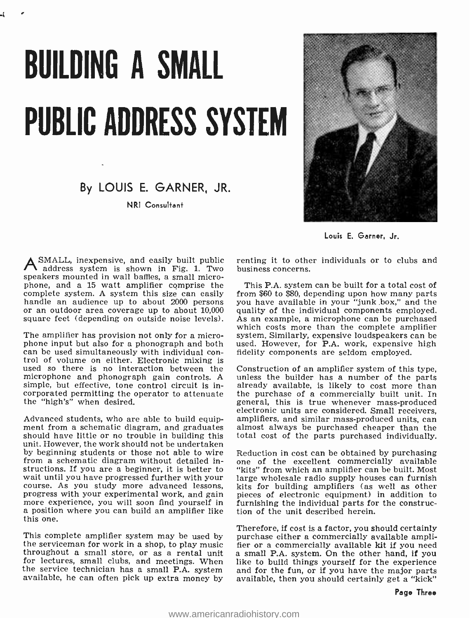# BUILDING A SMALL PUBLIC ADDRESS SYSTEM

## By LOUIS E. GARNER, JR.

NRI Consultant



Louis E. Garner, Jr.

 ${\mathsf A}$  SMALL, inexpensive, and easily built public - renting it to othe address system is shown in Fig. 1. Two - business concerns. speakers mounted in wall baffles, a small microphone, and a 15 watt amplifier comprise the handle an audience up to about 2000 persons or an outdoor area coverage up to about 10,000

The amplifier has provision not only for a micro-<br>phone input but also for a phonograph and both can be used simultaneously with individual con-<br>trol of volume on either. Electronic mixing is used so there is no interaction between the Construction of an amplifier system of this type, microphone and phonograph gain controls. A unless the builder has a number of the parts microphone and phonograph gain controls. A unless the builder has a number of the parts<br>simple, but effective, tone control circuit is in-<br>already available, is likely to cost more than simple, but effective, tone control circuit is incorporated permitting the operator to attenuate the purchase of a commercially built unit. In the "high's" when desired. the "high's" when desired.

Advanced students, who are able to build equip-<br>ment from a schematic diagram, and graduates ment from a schematic diagram, and graduates almost always be purchased cheaper than the should have little or no trouble in building this total cost of the parts purchased individually. unit. However, the work should not be undertaken by beginning students or those not able to wire Reduction in cost can be obtained by purchasing<br>from a schematic diagram without detailed in-<br>one of the excellent commercially available from a schematic diagram without detailed instructions. If you are a beginner, it is better to wait until you have progressed further with your<br>course. As you study more advanced lessons,<br>progress with your experimental work, and gain more experience, you will soon find yourself in<br>a position where you can build an amplifier like<br>this one.

throughout a small store, or as a rental unit a small P.A. system. On the other hand, if you<br>for lectures, small clubs, and meetings. When like to build things yourself for the experience for lectures, small clubs, and meetings. When like to build things yourself for the experience<br>the service technician has a small P.A. system and for the fun, or if you have the major parts the service technician has a small P.A. system and for the fun, or if you have the major parts available, he can often pick up extra money by available, then you should certainly get a "kick"

renting it to other individuals or to clubs and

square feet (depending on outside noise levels). As an example, a microphone can be purchased<br>which costs more than the complete amplifier This P.A. system can be built for a total cost of from \$60 to \$80, depending upon how many parts you have available in your "junk box," and the quality of the individual components employed. As an example, a microphone can be purchased system. Similarly, expensive loudspeakers can be used. However, for P.A. work, expensive high

> Construction of an amplifier system of this type, the purchase of a commercially built unit. In electronic units are considered. Small receivers, amplifiers, and similar mass-produced units, can total cost of the parts purchased individually.

> Reduction in cost can be obtained by purchasing "kits" from which an amplifier can be built. Most large wholesale radio supply houses can furnish kits for building amplifiers (as well as other pieces of electronic equipment) in addition to furnishing the individual parts for the construction of the unit described herein.

Therefore, if cost is a factor, you should certainly<br>the serviceman for work in a shop, to play music increase either a commercially available ampli-<br>throughout a small store, or as a rental unit in a small P,A. system. On purchase either a commercially available ampli-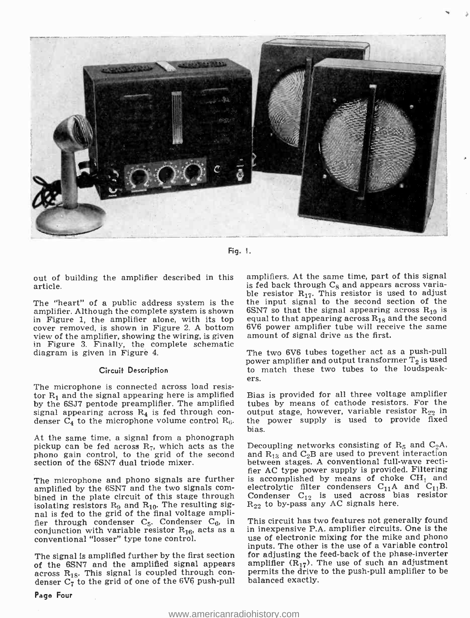

Fig. I.

out of building the amplifier described in this article.

The "heart" of a public address system is the amplifier. Although the complete system is shown in Figure 1, the amplifier alone, with its top equal to that appearing across  $R_{18}$  a<br>cover removed, is shown in Figure 2. A bottom 6V6 power amplifier tube will rece<br>view of the amplifier, showing the wiring, is given view of the amplifier, showing the wiring, is given in Figure 3. Finally, the complete schematic diagram is given in Figure 4.

#### Circuit Description

The microphone is connected across load resistor  $R_1$  and the signal appearing here is amplified by the 6SJ7 pentode preamplifier. The amplified signal appearing across  $R_4$  is fed through condenser  $C_4$  to the microphone volume control  $R_6$ .

At the same time, a signal from a phonograph pickup can be fed across  $R_7$ , which acts as the phono gain control, to the grid of the second section of the 6SN7 dual triode mixer.

The microphone and phono signals are further<br>amplified by the 6SN7 and the two signals combined in the plate circuit of this stage through isolating resistors  $R_9$  and  $R_{10}$ . The resulting signal is fed to the grid of the final voltage amplifier through condenser  $C_5$ . Condenser  $C_6$ , in conjunction with variable resistor  $R_{16}$ , acts as a conventional "losser" type tone control.

The signal is amplified further by the first section of the 6SN7 and the amplified signal appears amplifier  $(R_{17})$ . The use of such an adjustment across  $R_{18}$ . This signal is coupled through con-<br>denser  $C_7$  to the grid of one of the 6V6 push-pull balanced exactly.

amplifiers. At the same time, part of this signal is fed back through  $C_8$  and appears across varia-<br>ble resistor  $R_{17}$ . This resistor is used to adjust the input signal to the second section of the 6SN7 so that the signal appearing across  $R_{19}$  is equal to that appearing across  $R_{18}$  and the second 6V6 power amplifier tube will receive the same

The two 6V6 tubes together act as a push-pull power amplifier and output transformer  $T_2$  is used<br>to match these two tubes to the loudspeak-

ers.<br>Bias is provided for all three voltage amplifier tubes by means of cathode resistors. For the output stage, however, variable resistor  $R_{22}$  in the power supply is used to provide fixed bias.

Decoupling networks consisting of  $R_5$  and  $C_2A$ , and  $R_{13}$  and  $C_2B$  are used to prevent interaction between stages. A conventional full-wave rectifier AC type power supply is provided. Filtering is accomplished by means of choke  $CH<sub>1</sub>$  and electrolytic filter condensers  $C_{11}A$  and  $C_{11}B$ . Condenser  $C_{12}$  is used across bias resistor  $R_{22}$  to by-pass any AC signals here.

This circuit has two features not generally found in inexpensive P.A. amplifier circuits. One is the use of electronic mixing for the mike and phono inputs. The other is the use of a variable control for adjusting the feed-back of the phase-inverter amplifier  $(R_{17})$ . The use of such an adjustment balanced exactly.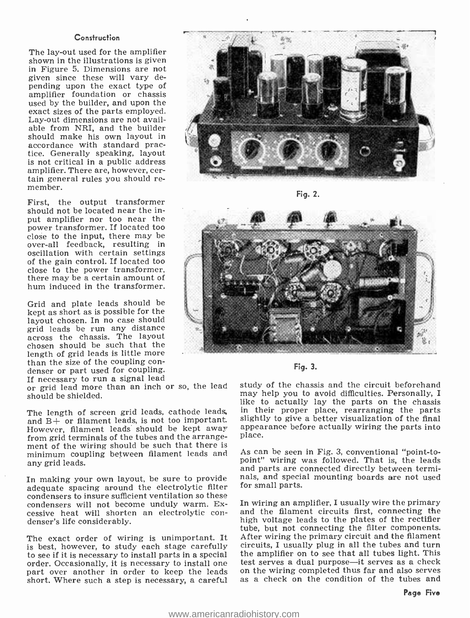#### **Construction**

The lay-out used for the amplifier shown in the illustrations is given in Figure 5. Dimensions are not given since these will vary depending upon the exact type of amplifier foundation or chassis used by the builder, and upon the exact sizes of the parts employed. Lay -out dimensions are not available from NRI, and the builder should make his own layout in accordance with standard practice. Generally speaking, layout is not critical in a public address<br>amplifier. There are, however, certain general rules you should re-<br>member.

First, the output transformer should not be located near the input amplifier nor too near the power transformer. If located too close to the input, there may be over -all feedback, resulting in oscillation with certain settings of the gain control. If located too close to the power transformer, there may be a certain amount of hum induced in the transformer.

Grid and plate leads should be kept as short as is possible for the layout chosen. In no case should grid leads be run any distance across the chassis. The layout chosen should be such that the length of grid leads is little more<br>than the size of the coupling con-<br>denser or part used for coupling.<br>If necessary to run a signal lead

or grid lead more than an inch or so, the lead should be shielded.

and B+ or filament leads, is not too important. However, filament leads should be kept away from grid terminals of the tubes and the arrangement of the wiring should be such that there is minimum coupling between filament leads and any grid leads.

In making your own layout, be sure to provide adequate spacing around the electrolytic filter condensers to insure sufficient ventilation so these condensers will not become unduly warm. Excessive heat will shorten an electrolytic con- denser's life considerably.

The exact order of wiring is unimportant. It is best, however, to study each stage carefully to see if it is necessary to install parts in a special the amplifier on to see that all tubes light. This order. Occasionally, it is necessary to install one that serves a dual purpose—it serves as a check on the leads on short. Where such a step is necessary, a careful



Fig. 2.





The length of screen grid leads, cathode leads, in their proper place, rearranging the parts<br>and  $B_{\pm}$  or filament leads is not too important. Slightly to give a better visualization of the final study of the chassis and the circuit beforehand may help you to avoid difficulties. Personally, I like to actually lay the parts on the chassis in their proper place, rearranging the parts appearance before actually wiring the parts into place.

> As can be seen in Fig. 3, conventional "point-topoint" wiring was followed. That is, the leads and parts are connected directly between terminals, and special mounting boards are not used for small parts.

> In wiring an amplifier, I usually wire the primary and the filament circuits first, connecting the high voltage leads to the plates of the rectifier tube, but not connecting the filter components. After wiring the primary circuit and the filament circuits, I usually plug in all the tubes and turn the amplifier on to see that all tubes light. This test serves a dual purpose—it serves as a check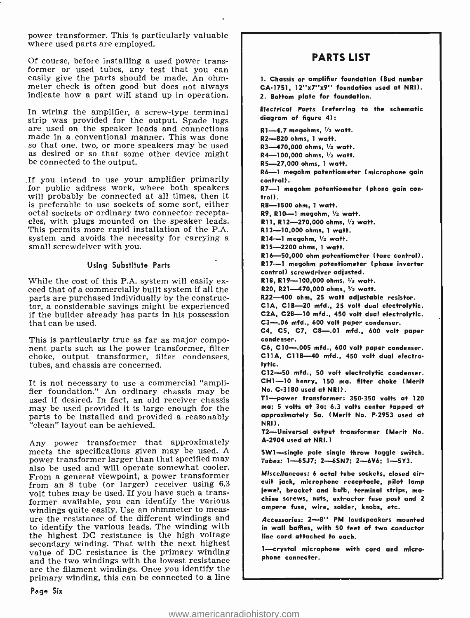power transformer. This is particularly valuable where used parts are employed.

Of course, before installing a used power transformer or used tubes, any test that you can easily give the parts should be made. An ohm-<br>meter check is often good but does not always indicate how a part will stand up in operation.

In wiring the amplifier, a screw-type terminal strip was provided for the output. Spade lugs are used on the speaker leads and connections made in a conventional manner. This was done so that one, two, or more speakers may be used as desired or so that some other device might be connected to the output.

If you intend to use your amplifier primarily for public address work, where both speakers will probably be connected at all times, then it is preferable to use sockets of some sort, either octal sockets or ordinary two connector receptacles, with plugs mounted on the speaker leads. This permits more rapid installation of the P.A. system and avoids the necessity for carrying a small screwdriver with you.

#### Using Substitute Parts

While the cost of this P.A. system will easily ex- ceed that of a commercially built system if all the parts are purchased individually by the constructor, a considerable savings might be experienced if the builder already has parts in his possession that can be used.

This is particularly true as far as major component parts such as the power transformer, filter choke, output transformer, filter condensers, tubes, and chassis are concerned.

It is not necessary to use a commercial "ampli- fier foundation." An ordinary chassis may be used if desired. In fact, an old receiver chassis may be used provided it is large enough for the parts to be installed and provided a reasonably "clean" layout can be achieved.

Any power transformer that approximately meets the specifications given may be used. A power transformer larger than that specified may also be used and will operate somewhat cooler. From a general viewpoint, a power transformer from an 8 tube (or larger) receiver using 6.3 volt tubes may be used. If you have such a transformer available, you can identify the various ure the resistance of the different windings and to identify the various leads. The winding with the highest DC resistance is the high voltage secondary winding. That with the next highest value of DC resistance is the primary winding and the two windings with the lowest resistance are the filament windings. Once you identify the primary winding, this can be connected to a line

### PARTS LIST

1. Chassis or amplifier foundation (Bud number CA-1751, 12"x7"x9" foundation used at NRI). 2. Bottom plate for foundation.

Electrical Parts (referring to the schematic diagram of figure 4):

 $R1 - 4.7$  megohms,  $V_2$  watt. R2 -820 ohms, 1 watt. R3-470,000 ohms, 1/2 watt. R4-100,000 ohms, 1/2 watt. R5- 27,000 ohms, 1 watt. R6-1 megohm potentiometer (microphone gain control). R7—1 megohm potentiometer (phono gain con-<br>trol). R8-1500 ohm, 1 watt.  $R9$ , R10-1 megohm,  $V_2$  watt. R11, R12- $-270,000$  ohms,  $V_2$  watt. R13-10,000 ohms, 1 watt.  $R14 - 1$  megohm.  $\frac{1}{2}$  watt. R15 -2200 ohms, 1 watt. R16- 50,000 ohm potentiometer (tone control). R17 -1 megohm potentiometer (phase inverter control) screwdriver adjusted. R18, R19-100,000 ohms,  $1/2$  watt. R20, R21-470,000 ohms, 1/2 watt. R22 -400 ohm, 25 watt adjustable resistor. CIA, CIB-20 mfd., 25 volt dual electrolytic. C2A, C2B-10 mfd., 450 volt dual electrolytic. C3-.06 mfd., 600 volt paper condenser. C4, C5, C7, C8-01 mfd., 600 volt paper condenser. C6, C10-.005 mfd., 600 volt paper condenser. C11A, C11B-40 mfd., 450 volt dual electrolytic. C12-50 mfd., 50 volt electrolytic condenser. CH1-10 henry, 150 ma. filter choke (Merit No. C -3180 used at NRI). T1 -power transformer: 350 -350 volts at 120 ma; 5 volts at 3a; 6.3 volts center tapped at approximately 5a. (Merit No. P-2953 used at NRI). T2- Universal output transformer (Merit No. A -2904 used at NRI. ) SW1-single pole single throw toggle switch. Tubes: 1--6SJ7; 2-6SN7; 2-6V6; 1-5Y3. Miscellaneous: 6 octal tube sockets, closed circuit jack, microphone receptacle, pilot lamp jewel, bracket and bulb, terminal strips, ma chine screws, nuts, extractor fuse post and 2 ampere fuse, wire, solder, knobs, etc. Accessories: 2-8" PM loudspeakers mounted in wall baffles, with 50 feet of two conductor line cord attached to each.

1-crystal microphone with cord and microphone connecter.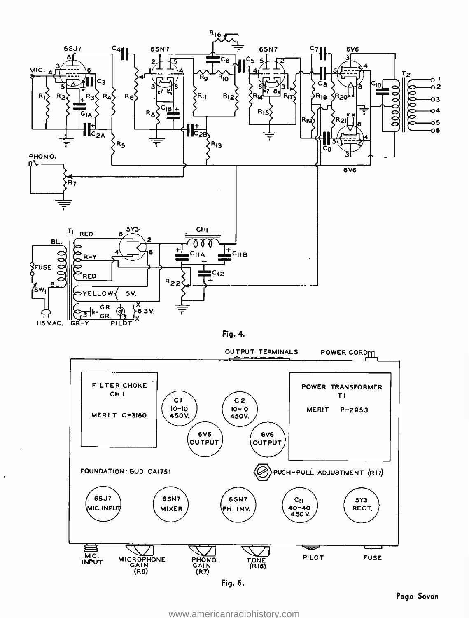





Fig. 5.

<www.americanradiohistory.com>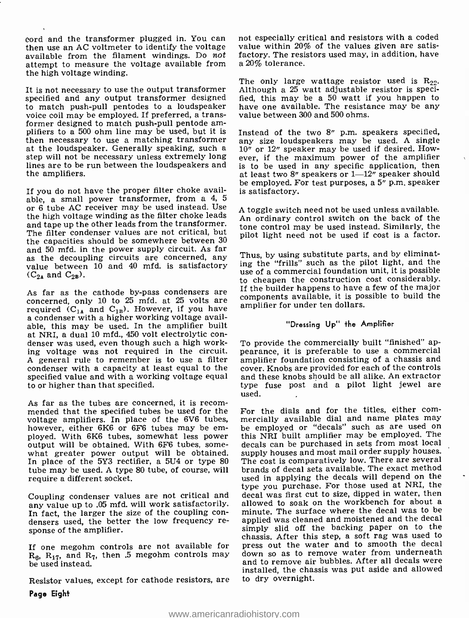cord and the transformer plugged in. You can then use an AC voltmeter to identify the voltage available from the filament windings. Do not factory. The resisted in the value of  $\frac{1}{2}$  at  $\frac{1}{2}$  at  $\frac{1}{2}$  at  $\frac{1}{2}$  at  $\frac{1}{2}$  at  $\frac{1}{2}$  at  $\frac{1}{2}$  at  $\frac{1}{2}$  at  $\frac{1}{2}$  at  $\frac{1}{2}$  at  $\frac{1}{2}$ attempt to measure the voltage available from the high voltage winding.

It is not necessary to use the output transformer specified and any output transformer designed to match push -pull pentodes to a loudspeaker voice coil may be employed. If preferred, a transformer designed to match push -pull pentode am- plifiers to a 500 ohm line may be used, but it is then necessary to use a matching transformer<br>at the loudspeaker. Generally speaking, such a step will not be necessary unless extremely long lines are to be run between the loudspeakers and the amplifiers.

If you do not have the proper filter choke available, a small power transformer, from a 4, 5 or 6 tube AC receiver may be used instead. Use the high voltage winding as the filter choke leads and tape up the other leads from the transformer. The filter condenser values are not critical, but the capacities should be somewhere between 30 and 50 mfd, in the power supply circuit. As far as the decoupling circuits are concerned, any value between 10 and 40 mfd. is satisfactory ing the "frills" such as the pliot light, and the<br>(C<sub>ov</sub>end C<sub>ov</sub>)  $(C_{2A}$  and  $C_{2B})$ .

As far as the cathode by-pass condensers are concerned, only 10 to 25 mfd. at 25 volts are required  $(C_{14}$  and  $C_{1B}$ ). However, if you have a condenser with a higher working voltage available, this may be used. In the amplifier built at NRI, a dual 10 mfd., 450 volt electrolytic condenser was used, even though such a high working voltage was not required in the circuit. pearance, it is preferable to use a commercial A general rule to remember is to use a filter amplifier foundation consisting of a chassis and A general rule to remember is to use a filter condenser with a capacity at least equal to the specified value and with a working voltage equal to or higher than that specified.

As far as the tubes are concerned, it is recom-<br>mended that the specified tubes be used for the For the dials and for the titles, either comvoltage amplifiers. In place of the 6V6 tubes, mercially available dial and name plates may however, either 6K6 or 6F6 tubes may be em-<br>be employed or "decals" such as are used on ployed. With 6K6 tubes, somewhat less power output will be obtained. With 6F6 tubes, somewhat greater power output will be obtained. In place of the 5Y3 rectifier, a 5U4 or type 80 tube may be used. A type 80 tube, of course, will require a different socket.

Coupling condenser values are not critical and any value up to .05 mfd. will work satisfactorily. allowed to soak on the workbench for about a<br>In fact, the larger the size of the coupling con-<br>minute. The surface where the decal was to be densers used, the better the low frequency re- sponse of the amplifier.

If one megohm controls are not available for  $R_6$ ,  $R_{17}$ , and  $R_7$ , then .5 megohm controls may down so as to remove water from underneath and to remove air bubbles. After all decals were be used instead.

Resistor values, except for cathode resistors, are

not especially critical and resistors with a coded value within 20% of the values given are satisfactory. The resistors used may, in addition, have

The only large wattage resistor used is  $R_{22}$ . Although a 25 watt adjustable resistor is specified, this may be a 50 watt if you happen to have one available. The resistance may be any value between 300 and 500 ohms.

Instead of the two 8" p.m. speakers specified, any size loudspeakers may be used. A single 10" or 12" speaker may be used if desired. However, if the maximum power of the amplifier is to be used in any specific application, then at least two 8" speakers or  $1-12$ " speaker should be employed. For test purposes, a 5" p.m. speaker is satisfactory.

A toggle switch need not be used unless available. An ordinary control switch on the back of the tone control may be used instead. Similarly, the pilot light need not be used if cost is a factor.

Thus, by using substitute parts, and by eliminating the "frills" such as the pilot light, and the to cheapen the construction cost considerably. If the builder happens to have a few of the major components available, it is possible to build the amplifier for under ten dollars.

#### "Dressing Up" the Amplifier

To provide the commercially built "finished" appearance, it is preferable to use a commercial cover. Knobs are provided for each of the controls and these knobs should be all alike. An extractor type fuse post and a pilot light jewel are used.

mercially available dial and name plates may this NRI built amplifier may be employed. The decals can be purchased in sets from most local supply houses and most mail order supply houses. The cost is comparatively low. There are several brands of decal sets available. The exact method used in applying the decals will depend on the type you purchase. For those used at NRI, the decal was first cut to size, dipped in water, then allowed to soak on the workbench for about a applied was cleaned and moistened and the decal simply slid off the backing paper on to the chassis. After this step, a soft rag was used to press out the water and to smooth the decal down so as to remove water from underneath installed, the chassis was put aside and allowed to dry overnight.

Paga Eight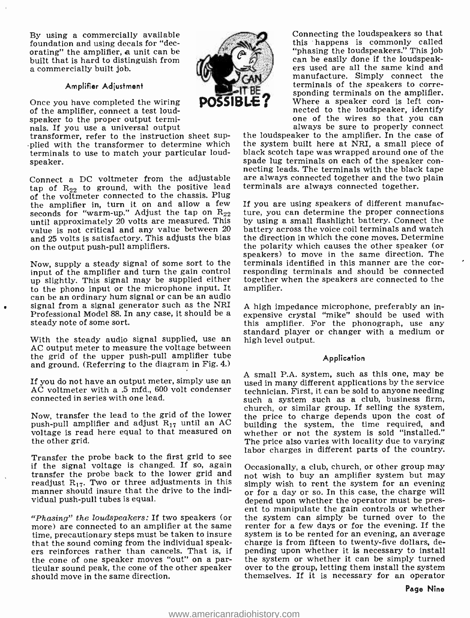By using a commercially available foundation and using decals for "decorating" the amplifier, a unit can be built that is hard to distinguish from a commercially built job.

#### Amplifier Adjustment

Once you have completed the wiring of the amplifier, connect a test loudspeaker to the proper output terminals. If you use a universal output

transformer, refer to the instruction sheet supplied with the transformer to determine which terminals to use to match your particular loudspeaker.

Connect a DC voltmeter from the adjustable are always connected together and the two  $tan$  of  $Rate$  to ground, with the positive lead terminals are always connected together. tap of  $R_{22}$  to ground, with the positive lead of the voltmeter connected to the chassis. Plug the amplifier in, turn it on and allow a few seconds for "warm-up." Adjust the tap on  $R_{22}$ until approximately 20 volts are measured. This value is not critical and any value between 20 and 25 volts is satisfactory. This adjusts the bias on the output push -pull amplifiers.

input of the amplifier and turn the gain control up slightly. This signal may be supplied either<br>to the phono input or the microphone input. It can be an ordinary hum signal or can be an audio signal from a signal generator such as the NRI Professional Model 88. In any case, it should be a steady note of some sort.

With the steady audio signal supplied, use an high level output.<br>AC output meter to measure the voltage between the grid of the upper push-pull amplifier tube and ground. (Referring to the diagram in Fig. 4.)

If you do not have an output meter, simply use an AC voltmeter with a .5 mfd., 600 volt condenser connected in series with one lead.

Now, transfer the lead to the grid of the lower push-pull amplifier and adjust  $R_{17}$  until an AC voltage is read here equal to that measured on the other grid.

Transfer the probe back to the first grid to see<br>if the signal voltage is changed. If so, again  $\alpha$  (occasionally, a club, church, or other group may transfer the probe back to the lower grid and  $\frac{1}{100}$  wish to buy an amplifier system but may readjust  $R_{17}$ . Two or three adjustments in this simply wish to rent the system for an evening readjust  $R_{17}$ . Two or three adjustments in this manner should insure that the drive to the individual push-pull tubes is equal.

"Phasing" the loudspeakers: If two speakers (or<br>more) are connected to an amplifier at the same time, precautionary steps must be taken to insure system is to be rented for an evening, an average<br>that the sound coming from the individual speak- charge is from fifteen to twenty-five dollars, dethat the sound coming from the individual speak-<br>ers reinforces rather than cancels. That is, if pending upon whether it is necessary to install<br>the cone of one speaker moves "out" on a par- the system or whether it can be the cone of one speaker moves "out" on a par-<br>ticular sound peak, the cone of the other speaker<br>should move in the same direction.<br>themselves. If it is necessary for an operator should move in the same direction.



Connecting the loudspeakers so that this happens is commonly called<br>"phasing the loudspeakers." This job can be easily done if the loudspeak-<br>ers used are all the same kind and manufacture. Simply connect the sponding terminals on the amplifier.<br>Where a speaker cord is left con-<br>nected to the loudspeaker, identify<br>one of the wires so that you can<br>always be sure to properly connect

the loudspeaker to the amplifier. In the case of the system built here at NRI, a small piece of black scotch tape was wrapped around one of the spade lug terminals on each of the speaker connecting leads. The terminals with the black tape are always connected together and the two plain

Now, supply a steady signal of some sort to the terminals identified in this manner are the cor-If you are using speakers of different manufacture, you can determine the proper connections by using a small flashlight battery. Connect the battery across the voice coil terminals and watch the direction in which the cone moves. Determine the polarity which causes the other speaker (or speakers) to move in the same direction. The responding terminals and should be connected together when the speakers are connected to the amplifier.

> A high impedance microphone, preferably an inexpensive crystal "mike" should be used with<br>this amplifier. For the phonograph, use any standard player or changer with a medium or

#### Application

A small P.A. system, such as this one, may be used in many different applications by the service technician. First, it can be sold to anyone needing such a system such as a club, business firm, church, or similar group. If selling the system, the price to charge depends upon the cost of building the system, the time required, and whether or not the system is sold 'installed." The price also varies with locality due to varying

Occasionally, a club, church, or other group may not wish to buy an amplifier system but may or for a day or so. In this case, the charge will depend upon whether the operator must be present to manipulate the gain controls or whether the system can simply be turned over to the renter for a few days or for the evening. If the system is to be rented for an evening, an average pending upon whether it is necessary to install over to the group, letting them install the system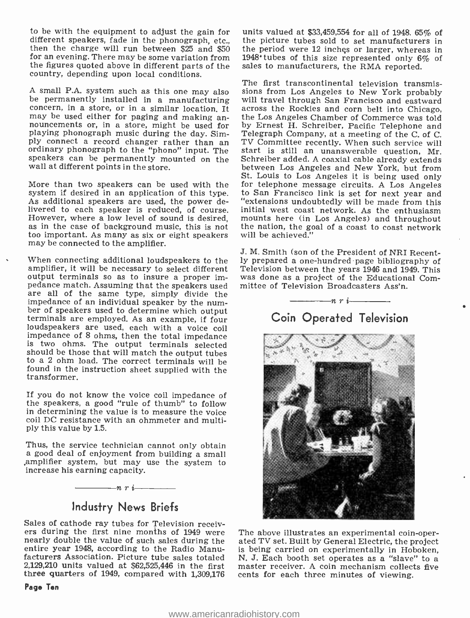to be with the equipment to adjust the gain for then the charge will run between \$25 and \$50 for an evening. There may be some variation from the figures quoted above in different parts of the country, depending upon local conditions.

be permanently installed in a manufacturing will travel through San Francisco and eastward concern, in a store, or in a similar location. It across the Rockies and corn belt into Chicago. concern, in a store, or in a similar location. It across the Rockies and corn belt into Chicago, may be used either for paging and making an-<br>the Los Angeles Chamber of Commerce was told nouncements or, in a store, might be used for playing phonograph music during the day. Sim-<br>ply connect a record changer rather than an portugal connect a record changer ordinary phonograph to the "phono" input. The start is still an unanswerable question, Mr.<br>speakers can be permanently mounted on the Schreiber added. A coaxial cable already extends wall at different points in the store.

system if desired in an application of this type. As additional speakers are used, the power de-However, where a low level of sound is desired, mounts here (in Los Angeles) and throughout as in the case of background music, this is not the nation, the goal of a coast to coast network too important. As many as six or eight speakers may be connected to the amplifier.

When connecting additional loudspeakers to the amplifier, it will be necessary to select different Television between the years 1946 and 1949. This output terminals so as to insure a proper imoutput terminals so as to insure a proper impedance match. Assuming that the speakers used are all of the same type, simply divide the impedance of an individual speaker by the num- ber of speakers used to determine which output terminals are employed. As an example, if four loudspeakers are used, each with a voice coil impedance of 8 ohms, then the total impedance should be those that will match the output tubes to a 2 ohm load. The correct terminals will be found in the instruction sheet supplied with the transformer.

If you do not know the voice coil impedance of the speakers, a good "rule of thumb" to follow in determining the value is to measure the voice coil DC resistance with an ohmmeter and multiply this value by 1.5.

Thus, the service technician cannot only obtain a good deal of enjoyment from building a small .amplifier system, but may use the system to increase his earning capacity.



## Industry News Briefs

Sales of cathode ray tubes for Television receiv-<br>ers during the first nine months of 1949 were The above illustrates an experimental coin-oper-<br>nearly double the value of such sales during the ated TV set. Built by Genera entire year 1948, according to the Radio Manufacturers Association. Picture tube sales totaled N. J. Each booth set operates as a "slave" to a 2,129,210 units valued at \$62,525,446 in the first three quarters of 1949, compared with 1,309,176

Page Ten

units valued at \$33,459,554 for all of 1948. 65% of the picture tubes sold to set manufacturers in the period were 12 inches or larger, whereas in 1948' tubes of this size represented only 6% of sales to manufacturers, the RMA reported.

A small P.A. system such as this one may also sions from Los Angeles to New York probably<br>be permanently installed in a manufacturing will travel through San Francisco and eastward St. Louis to Los Angeles it is being used only<br>More than two speakers can be used with the for telephone message circuits. A Los Angeles The first transcontinental television transmissions from Los Angeles to New York probably by Ernest H. Schreiber, Pacific Telephone and Telegraph Company, at a meeting of the C. of C. TV Committee recently. When such service will Schreiber added. A coaxial cable already extends between Los Angeles and New York, but from for telephone message circuits. A Los Angeles to San Francisco link is set for next year and initial west coast network. As the enthusiasm mounts here (in Los Angeles) and throughout will be achieved."

> J. M. Smith (son of the President of NRI Recently prepared a one -hundred page bibliography of Television between the years 1946 and 1949. This mittee of Television Broadcasters Ass'n.

## nri Coin Operated Television



ated TV set. Built by General Electric, the project is being carried on experimentally in Hoboken, master receiver. A coin mechanism collects five cents for each three minutes of viewing.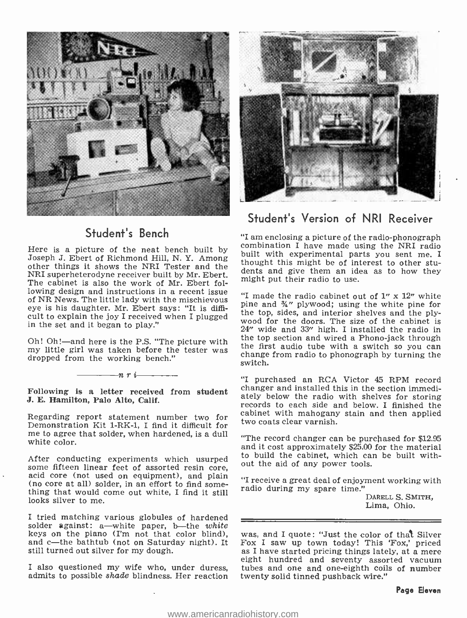

## Student's Bench

Here is a picture of the neat bench built by Joseph J. Ebert of Richmond Hill, N. Y. Among other things it shows the NRI Tester and the NRI superheterodyne receiver built by Mr. Ebert. The definition of the minimum and the The cohinet is also the work of Mr. Ebert following might put their radio to use. The cabinet is also the work of Mr. Ebert following design and instructions in a recent issue  $\mu$  made the radio cabinet out of 1<sup>'</sup> x 12<sup>'</sup> white of NR News. The little lady with the mischievous eye is his daughter. Mr. Ebert says: "It is difficult to explain the joy I received when I plugged in the set and it began to play."

my little girl was taken before the tester was dropped from the working bench."

nri

J. E. Hamilton, Palo Alto, Calif.

Regarding report statement number two for<br>Demonstration Kit 1-RK-1, I find it difficult for me to agree that solder, when hardened, is a dull white color.

After conducting experiments which usurped some fifteen linear feet of assorted resin core, (no core at all) solder, in an effort to find some-<br>thing that would come out white, I find it still<br>looks silver to me.

I tried matching various globules of hardened solder against: a—white paper, b—the *white*<br>keys on the piano (I'm not that color blind). and c—the bathtub (not on Saturday night). It Fox I saw up town today! This 'Fox,' priced<br>still turned out silver for my dough.  $\qquad \qquad$  as I have started pricing things lately, at a mere still turned out silver for my dough.

admits to possible shade blindness. Her reaction



## Student's Version of NRI Receiver

"I am enclosing a picture of the radio -phonograph combination I have made using the NRI radio built with experimental parts you sent me. I thought this might be of interest to other students and give them an idea as to how they

Oh! Oh!—and here is the P.S. "The picture with  $\frac{1}{2}$  the top section and wired a Phono-jack through  $\frac{1}{2}$  my little girl was taken before the taxien was the first audio tube with a switch so you can pine and %" plywood; using the white pine for the top, sides, and interior shelves and the ply- wood for the doors. The size of the cabinet is 24" wide and 33" high. I installed the radio in change from radio to phonograph by turning the switch.

Following is a letter received from student changer and installed this in the section immedi-<br>L.F. Hamilton, Pole Alte Colis "I purchased an RCA Victor 45 RPM record changer and installed this in the section immedirecords to each side and below. I finished the cabinet with mahogany stain and then applied two coats clear varnish.

> "The record changer can be purchased for \$12.95 and it cost approximately \$25.00 for the material to build the cabinet, which can be built without the aid of any power tools.

> "I receive a great deal of enjoyment working with radio during my spare time."

> > DARELL S. SMITH,<br>Lima, Ohio.

eight hundred and seventy assorted vacuum<br>I also questioned my wife who, under duress, tubes and one and one-eighth coils of number was, and I quote: "Just the color of that Silver tubes and one and one-eighth coils of number twenty solid tinned pushback wire."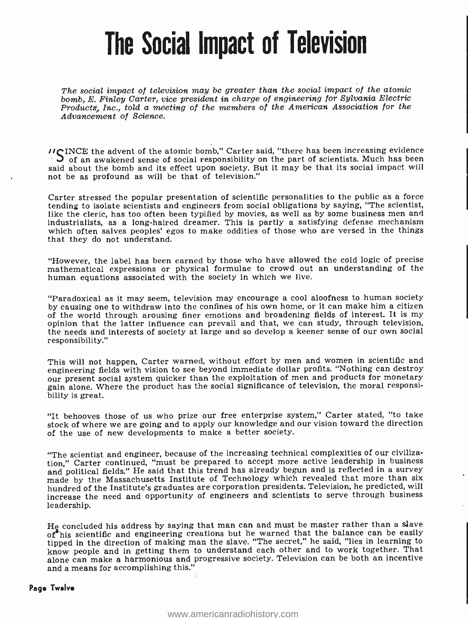## The Social Impact of Television

The social impact of television may be greater than the social impact of the atomic bomb, E. Finley Carter, vice president in charge of engineering for Sylvania Electric Products, Inc., told a meeting of the members of the American Association for the Advancement of Science.

 $'$ INCE the advent of the atomic bomb," Carter said, "there has been increasing evidence  $'$  S of an awakened sense of social responsibility on the part of scientists. Much has been said about the bomb and its effect upon society. But it may be that its social impact will not be as profound as will be that of television."

Carter stressed the popular presentation of scientific personalities to the public as a force tending to isolate scientists and engineers from social obligations by saying, "The scientist, like the cleric, has too often been typified by movies, as well as by some business men and industrialists, as a long- haired dreamer. This is partly a satisfying defense mechanism which often salves peoples' egos to make oddities of those who are versed in the things that they do not understand.

"However, the label has been earned by those who have allowed the cold logic of precise mathematical expressions or physical formulae to crowd out an understanding of the human equations associated with the society in which we live.

"Paradoxical as it may seem, television may encourage a cool aloofness to human society by causing one to withdraw into the confines of his own home, or it can make him a citizen of the world through arousing finer emotions and broadening fields of interest. It is my opinion that the latter influence can prevail and that, we can study, through television, the needs and interests of society at large and so develop a keener sense of our own social responsibility."

This will not happen, Carter warned, without effort by men and women in scientific and our present social system quicker than the exploitation of men and products for monetary gain alone. Where the product has the social significance of television, the moral responsibility is great.

"It behooves those of us who prize our free enterprise system," Carter stated, "to take stock of where we are going and to apply our knowledge and our vision toward the direction of the use of new developments to make a better society.

"The scientist and engineer, because of the increasing technical complexities of our civilization," Carter continued, "must be prepared to accept more active leadership in business and political fields." He said that this trend has already begun and is reflected in a survey made by the Massachusetts Institute of Technology which revealed that more than six hundred of the Institute's graduates are corporation presidents. Television, he predicted, will increase the need and opportunity of engineers and scientists to serve through business leadership.

He concluded his address by saying that man can and must be master rather than a slave of his scientific and engineering creations but he warned that the balance can be easily tipped in the direction of making man the slave. "The secret," he said, "lies in learning to know people and in getting them to understand each other and to work together. That alone can make a harmonious and progressive society. Television can be both an incentive and a means for accomplishing this."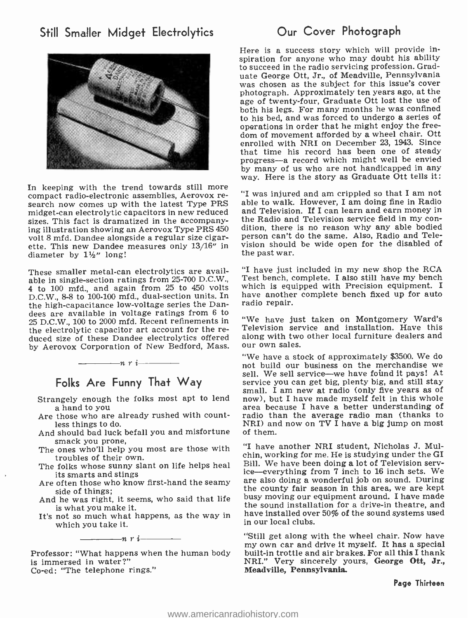## Still Smaller Midget Electrolytics **Our Cover Photograph**



In keeping with the trend towards still more compact radio -electronic assemblies, Aerovox re- search now comes up with the latest Type PRS midget -can electrolytic capacitors in new reduced sizes. This fact is dramatized in the accompanying illustration showing an Aerovox Type PRS 450 dition, there is no reason why any able bodied volt 8 mfd. Dandee alongside a regular size cigarette. This new Dandee measures only 13/16" in diameter by  $1\frac{1}{2}$ " long!

These smaller metal-can electrolytics are available in single-section ratings from 25-700 D.C.W., <sup>4</sup>to 100 mfd., and again from 25 to 450 volts D.C.W., 8-8 to 100-100 mfd., dual-section units. In the high- capacitance low- voltage series the Dan - dees are available in voltage ratings from 6 to 25 D.C.W., 100 to 2000 mfd. Recent refinements in duced size of these Dandee electrolytics offered by Aerovox Corporation of New Bedford, Mass.



### Folks Are Funny That Way

- Strangely enough the folks most apt to lend a hand to you
- Are those who are already rushed with countless things to do.
- And should bad luck befall you and misfortune smack you prone,
- The ones who'll help you most are those with<br>troubles of their own.
- its smarts and stings
- Are often those who know first-hand the seamy side of things;
- is what you make it.
- It's not so much what happens, as the way in which you take it.



Professor: "What happens when the human body is immersed in water ?"

Co-ed: "The telephone rings."

Here is a success story which will provide inspiration for anyone who may doubt his ability to succeed in the radio servicing profession. Graduate George Ott, Jr., of Meadville, Pennsylvania was chosen as the subject for this issue's cover photograph. Approximately ten years ago, at the age of twenty-four, Graduate Ott lost the use of both his legs. For many months he was confined to his bed, and was forced to undergo a series of operations in order that he might enjoy the freedom of movement afforded by a wheel chair. Ott enrolled with NRI on December 23, 1943. Since that time his record has been one of steady progress-a record which might well be envied by many of us who are not handicapped in any way. Here is the story as Graduate Ott tells it:

"I was injured and am crippled so that I am not able to walk. However, I am doing fine in Radio and Television. If I can learn and earn money in the Radio and Television service field in my conperson can't do the same. Also, Radio and Television should be wide open for the disabled of the past war.

"I have just included in my new shop the RCA Test bench, complete. I also still have my bench which is equipped with Precision equipment. I have another complete bench fixed up for auto radio repair.

"We have just taken on Montgomery Ward's Television service and installation. Have this along with two other local furniture dealers and our own sales.

"We have a stock of approximately \$3500. We do sell. We sell service—we have found it pays! At service you can get big, plenty big, and still stay small. I am new at radio (only five years as of now), but I have made myself felt in this whole area because I have a better understanding of radio than the average radio man (thanks to NRI) and now on TV  $\tilde{I}$  have a big jump on most of them.

the folks whose sunny slant on life helps heal Bill. We have been doing a lot of Television serv-<br>its smarts and stings And he was right, it seems, who said that life busy moving our equipment around. I have made "I have another NRI student, Nicholas J. Mulchin, working for me. He is studying under the GI Bill. We have been doing a lot of Television servare also doing a wonderful job on sound. During the county fair season in this area, we are kept the sound installation for a drive -in theatre, and have installed over 50% of the sound systems used in our local clubs.

> "Still get along with the wheel chair. Now have built-in trottle and air brakes. For all this I thank NRI." Very sincerely yours, George Ott, Jr., Meadville, Pennsylvania.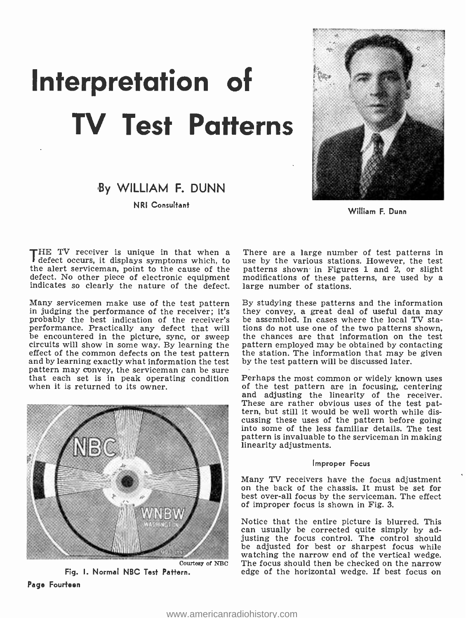## Interpretation of TV Test Patterns

## By WILLIAM F. DUNN

NRI Consultant



William F. Dunn

THE TV receiver is unique in that when a There are a large number of test patterns in defect occurs, it displays symptoms which, to use by the various stations. However, the test the alert serviceman, point to the cause of the alert serviceman, point to the cause of the indicates so clearly the nature of the defect. large number of stations.

Many servicemen make use of the test pattern By studying these patterns and the information<br>in judging the performance of the receiver; it's they convey, a great deal of useful data may<br>probably the best indication of the probably the best indication of the receiver's performance. Practically any defect that will tions do not use one of the two patterns shown,<br>be encountered in the picture, sync, or sweep the chances are that information on the test be encountered in the picture, sync, or sweep the chances are that information on the test circuits will show in some way. By learning the pattern employed may be obtained by contacting effect of the common defects on the test pattern the station. The information that may be and by learning exactly what information the test by the test pattern will be discussed later. pattern may convey, the serviceman can be sure<br>that each set is in peak operating condition Perhaps the most common or widely known uses that each set is in peak operating condition when it is returned to its owner.



Fig. I. Normal NBC Test Pattern. Page Fourteen

use by the various stations. However, the test modifications of these patterns, are used by a

By studying these patterns and the information they convey, a great deal of useful data may tions do not use one of the two patterns shown. the station. The information that may be given

of the test pattern are in focusing, centering and adjusting the linearity of the receiver. These are rather obvious uses of the test pat-<br>tern, but still it would be well worth while dis-<br>cussing these uses of the pattern before going into some of the less familiar details. The test pattern is invaluable to the serviceman in making linearity adjustments.

#### Improper Focus

Many TV receivers have the focus adjustment on the back of the chassis. It must be set for best over -all focus by the serviceman. The effect of improper focus is shown in Fig. 3.

Notice that the entire picture is blurred. This can usually be corrected quite simply by adjusting the focus control. The control should be adjusted for best or sharpest focus while watching the narrow end of the vertical wedge. The focus should then be checked on the narrow edge of the horizontal wedge. If best focus on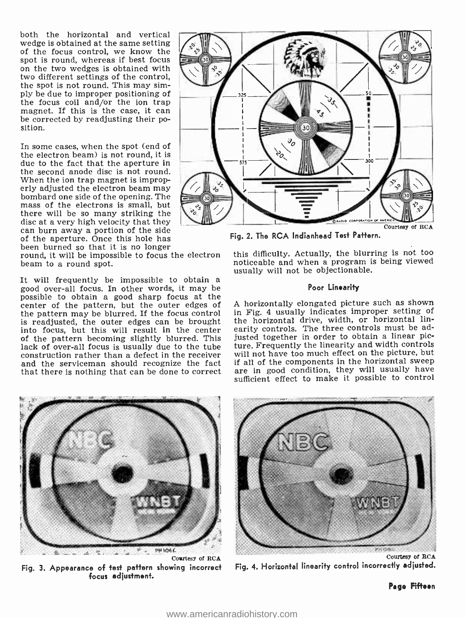both the horizontal and vertical wedge is obtained at the same setting of the focus control, we know the spot is round, whereas if best focus on the two wedges is obtained With two different settings of the control, the spot is not round. This may simply be due to improper positioning of the focus coil and /or the ion trap magnet. If this is the case, it can be corrected by readjusting their position.

In some cases, when the spot (end of the electron beam) is not round, it is due to the fact that the aperture in the second anode disc is not round.<br>When the ion trap magnet is improperly adjusted the electron beam may<br>bombard one side of the opening. The<br>mass of the electrons is small, but there will be so many striking the<br>disc at a very high velocity that they can burn away a portion of the side of the aperture. Once this hole has<br>been burned so that it is no longer

been burned so that it is no longer<br>round, it will be impossible to focus the electron this beam to a round spot.

It will frequently be impossible to obtain a good over -all focus. In other words, it may be possible to obtain a good sharp focus at the center of the pattern, but the outer edges of the pattern may be blurred. If the focus control<br>is readjusted, the outer edges can be brought into focus, but this will result in the center of the pattern becoming slightly blurred. This lack of over -all focus is usually due to the tube construction rather than a defect in the receiver and the serviceman should recognize the fact that there is nothing that can be done to correct



Fig. 2. The RCA Indianhead Test Pattern.

this difficulty. Actually, the blurring is not too noticeable and when a program is being viewed usually will not be objectionable.

#### Poor Linearity

A horizontally elongated picture such as shown in Fig. 4 usually indicates improper setting of the horizontal drive, width, or horizontal linearity controls. The three controls must be adjusted together in order to obtain a linear picture. Frequently the linearity and width controls will not have too much effect on the picture, but if all of the components in the horizontal sweep are in good condition, they will usually have sufficient effect to make it possible to control



Fig. 3. Appearance of test pattern showing incorrect focus adjustment.



Fig. 4. Horizontal linearity control incorrectly adjusted.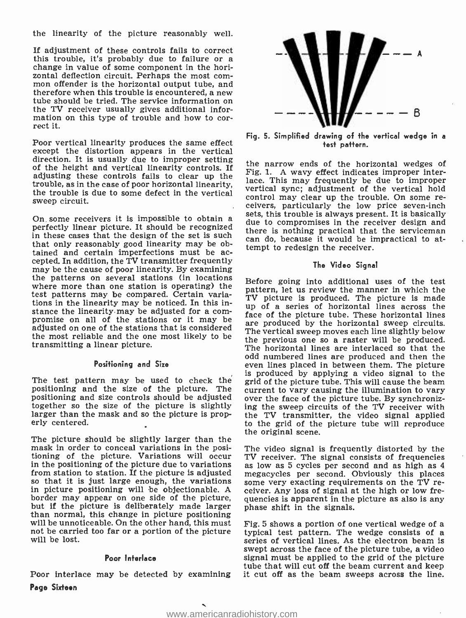the linearity of the picture reasonably well.

If adjustment of these controls fails to correct this trouble, it's probably due to failure or a change in value of some component in the horizontal deflection circuit. Perhaps the most com- mon offender is the horizontal output tube, and therefore when this trouble is encountered, a new tube should be tried. The service information on the TV receiver usually gives additional information on this type of trouble and how to cor- rect it.

Poor vertical linearity produces the same effect except the distortion appears in the vertical direction. It is usually due to improper setting of the height and vertical linearity controls. If adjusting these controls fails to clear up the trouble, as in the case of poor horizontal linearity, the trouble is due to improper<br>the trouble is due to some defect in the vertical sync; adjustment of the vertical hold sweep circuit.

in these cases that the design of the set is such can do, because it would be impractical to atthat only reasonably good linearity may be obtained and certain imperfections must be ac- cepted. In addition, the TV transmitter frequently may be the cause of poor linearity. By examining the patterns on several stations (in locations where more than one station is operating) the test patterns may be compared. Certain variations in the linearity may be noticed. In this instance the linearity may be adjusted for a com-<br>promise on all of the stations or it may be are of the picture tube. These horizontal lines adjusted on one of the stations that is considered the most reliable and the one most likely to be the previous one so a raster will be produced. transmitting a linear picture.

#### Positioning and Size

The test pattern may be used to check thé positioning and the size of the picture. The current to vary causing the illumination to vary<br>positioning and size controls should be adjusted over the face of the picture tube. By synchroniztogether so the size of the picture is slightly larger than the mask and so the picture is properly centered.

the picture should be slightly larger than the diginal scene.<br>The picture should be slightly larger than the<br>mask in order to conceal variations in the posi- The video signal i mask in order to conceal variations in the posi- The video signal is frequently distorted by the<br>tioning of the picture. Variations will occur - TV receiver. The signal consists of frequencies<br>in the positioning of the pic from station to station. If the picture is adjusted megacycles per second. Obviously this places so that it is just large enough, the variations some very exacting requirements on the TV rein picture positioning will be objectionable. A ceiver. Any loss of signal at the high or low fre-<br>border may appear on one side of the picture, quencies is apparent in the picture as also is any but if the picture is deliberately made larger phase shift in the signals.<br>
than normal, this change in picture positioning<br>
will be unnoticeable. On the other hand, this must Fig. 5 shows a portion of one vertical wedge not be carried too far or a portion of the picture will be lost.

#### Poor Interlace

Poor interlace may be detected by examining it cut off as the beam sweeps across the line. Page Sixteen



Fig. 5. Simplified drawing of the vertical wedge in a test pattern.

On some receivers it is impossible to obtain a sets, this trouble is always present. It is basically<br>perfectly linear picture. It should be recognized these is nothing panel is that the component the narrow ends of the horizontal wedges of Fig. 1. A wavy effect indicates improper interlace. This may frequently be due to improper control may clear up the trouble. On some receivers, particularly the low price seven-inch due to compromises in the receiver design and there is nothing practical that the serviceman tempt to redesign the receiver.

#### The Video Signal

Before going into additional uses of the test pattern, let us review the manner in which the TV picture is produced. The picture is made up of a series of horizontal lines across the are produced by the horizontal sweep circuits. The vertical sweep moves each line slightly below The horizontal lines are interlaced so that the odd numbered lines are produced and then the even lines placed in between them. The picture is produced by applying a video signal to the grid of the picture tube. This will cause the beam over the face of the picture tube. By synchroniz-<br>ing the sweep circuits of the TV receiver with the TV transmitter, the video signal applied to the grid of the picture tube will reproduce

TV receiver. The signal consists of frequencies megacycles per second. Obviously this places quencies is apparent in the picture as also is any

typical test pattern. The wedge consists of a series of vertical lines. As the electron beam is swept across the face of the picture tube, a video signal must be applied to the grid of the picture tube that will cut off the beam current and keep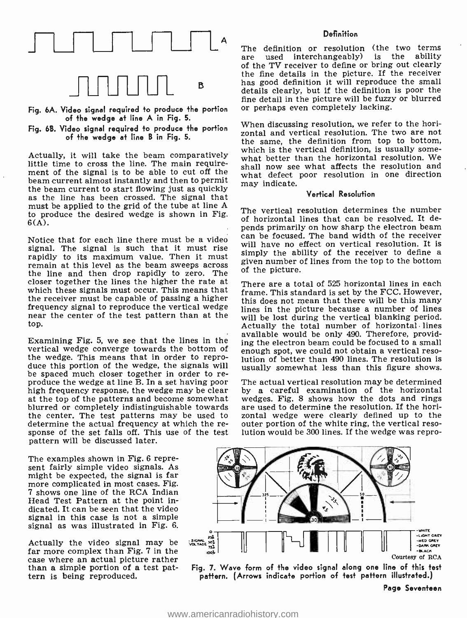

- Fig. 6A. Video signal required to produce the portion or perhaps even completely lacking. of the wedge at line A in Fig. 5.
- Fig. 6B. Video signal required to produce the portion of the wedge at line B in Fig. 5.

Actually, it will take the beam comparatively little time to cross the line. The main requirement of the signal is to be able to cut off the beam current almost instantly and then to permit the beam current to start flowing just as quickly as the line has been crossed. The signal that must be applied to the grid of the tube at line A to produce the desired wedge is shown in Fig. 6(A).

signal. The signal is such that it must rise rapidly to its maximum value. Then it must<br>remain at this level as the beam sweeps across given number of lines from the top to the bottom the line and then drop rapidly to zero. The closer together the lines the higher the rate at which these signals must occur. This means that the receiver must be capable of passing a higher frequency signal to reproduce the vertical wedge near the center of the test pattern than at the will be lost during the vertical blanking period. top.

Examining Fig. 5, we see that the lines in the vertical wedge converge towards the bottom of the wedge. This means that in order to reprothe wedge. This means that in order to repro- lution of better than 490 lines. The resolution is<br>duce this portion of the wedge, the signals will susually somewhat less than this figure shows. be spaced much closer together in order to re-<br>produce the wedge at line B. In a set having poor<br>high frequency response, the wedge may be clear at the top of the patterns and become somewhat blurred or completely indistinguishable towards the center. The test patterns may be used to - zontal wedge were clearly defined up to the determine the actual frequency at which the re- - outer portion of the white ring, the vertical resodetermine the actual frequency at which the re- sponse of the set falls off. This use of the test pattern will be discussed later.

The examples shown in Fig. 6 represent fairly simple video signals. As might be expected, the signal is far more complicated in most cases. Fig. 7 shows one line of the RCA Indian Head Test Pattern at the point indicated. It can be seen that the video signal in this case is not a simple signal as was illustrated in Fig. 6.

Actually the video signal may be far more complex than Fig. 7 in the case where an actual picture rather than a simple portion of a test pattern is being reproduced.

#### **Definition**

The definition or resolution (the two terms<br>are used interchangeably) is the ability used interchangeably) is the ability of the TV receiver to define or bring out clearly the fine details in the picture. If the receiver has good definition it will reproduce the small details clearly, but if the definition is poor the fine detail in the picture will be fuzzy or blurred

When discussing resolution, we refer to the horizontal and vertical resolution. The two are not the same, the definition from top to bottom, which is the vertical definition, is usually somewhat better than the horizontal resolution. We shall now see what affects the resolution and what defect poor resolution in one direction may indicate.

#### Vertical Resolution

Notice that for each line there must be a video  $\frac{\text{can}}{\text{can}}$  be focused. The band width of the receiver The vertical resolution determines the number of horizontal lines that can be resolved. It depends primarily on how sharp the electron beam will have no effect on vertical resolution. It is simply the ability of the receiver to define a of the picture.

> There are a total of 525 horizontal lines in each frame. This standard is set by the FCC. However, this does not mean that there will be this many lines in the picture because a number of lines Actually the total number of horizontal lines available would be only 490. Therefore, providing the electron beam could be focused to a small enough spot, we could not obtain a vertical resousually somewhat less than this figure shows.

> The actual vertical resolution may be determined by a careful examination of the horizontal wedges. Fig. 8 shows how the dots and rings are used to determine the resolution. If the horizontal wedge were clearly defined up to the lution would be 300 lines. If the wedge was repro-



pattern. (Arrows indicate portion of test pattern illustrated.)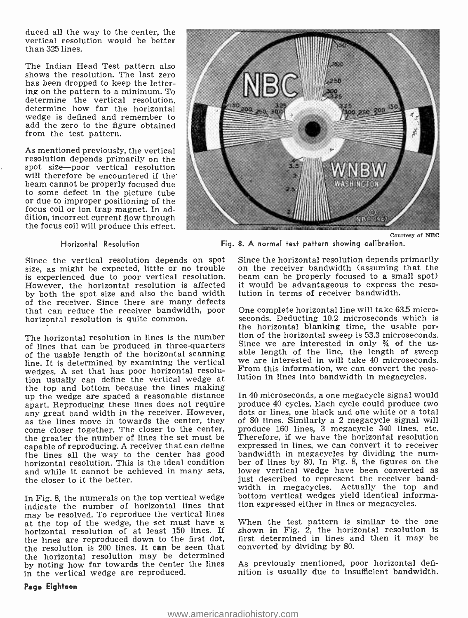duced all the way to the center, the vertical resolution would be better than 325 lines.

The Indian Head Test pattern also shows the resolution. The last zero has been dropped to keep the lettering on the pattern to a minimum. To determine the vertical resolution, determine how far the horizontal wedge is defined and remember to add the zero to the figure obtained from the test pattern.

As mentioned previously, the vertical resolution depends primarily on the spot size-poor vertical resolution will therefore be encountered if the beam cannot be properly focused due to some defect in the picture tube or due to improper positioning of the focus coil or ion trap magnet. In adthe focus coil will produce this effect.

#### Horizontal Resolution

size, as might be expected, little or no trouble on the receiver bandwidth (assuming that the is experienced due to poor vertical resolution. beam can be properly focused to a small spot) is experienced due to poor vertical resolution. However, the horizontal resolution is affected it would be advantageous to express by both the spot size and also the band width lution in terms of receiver bandwidth. by both the spot size and also the band width of the receiver. Since there are many defects that can reduce the receiver bandwidth, poor horizontal resolution is quite common.

The horizontal resolution in lines is the number is the non-<br>The non-zontal resolution in the contract of the series interested in only  $\frac{3}{4}$  of the usof lines that can be produced in three -quarters of the usable length of the horizontal scanning able length of the line, the length of sweep<br>line, It is determined by examining the vertical we are interested in will take 40 microseconds. line. It is determined by examining the vertical wedges. A set that has poor horizontal resoluwe was the can define the vertical wedge at lution in lines into bandwidth in megacycles. the top and bottom because the lines making up the wedge are spaced a reasonable distance apart. Reproducing these lines does not require<br>any great band width in the receiver. However, as the lines move in towards the center, they come closer together. The closer to the center, the greater the number of lines the set must be capable of reproducing. A receiver that can define expressed in lines, we can convert it to receiver<br>the lines all the way to the center has good bandwidth in megacycles by dividing the numthe lines all the way to the center has good horizontal resolution. This is the ideal condition and while it cannot be achieved in many sets, lower vertical wedge have been converted as<br>the closer to it the better. the closer to it the better.

In Fig. 8, the numerals on the top vertical wedge indicate the number of horizontal lines that may be resolved. To reproduce the vertical lines at the top of the wedge, the set must have a When the test pattern is similar to the one<br>horizontal resolution of at least 150 lines. If shown in Fig. 2, the horizontal resolution is the lines are reproduced down to the first dot, the resolution is 200 lines. It can be seen that the horizontal resolution may be determined by noting how far towards the center the lines in the vertical wedge are reproduced.



Courtesy of NEC

Fig. 8. A normal test pattern showing calibration.

Since the vertical resolution depends on spot Since the horizontal resolution depends primarily on the receiver bandwidth (assuming that the it would be advantageous to express the reso-

> One complete horizontal line will take 63.5 microseconds. Deducting 10.2 microseconds which is the horizontal blanking time, the usable portion of the horizontal sweep is 53.3 microseconds. able length of the line, the length of sweep From this information, we can convert the reso-

> In 40 microseconds, a one megacycle signal would produce 40 cycles. Each cycle could produce two dots or lines, one black and one white or a total of 80 lines. Similarly a 2 megacycle signal will produce 160 lines, 3 megacycle 340 lines, etc. Therefore, if we have the horizontal resolution expressed in lines, we can convert it to receiver bandwidth in megacycles by arritang the num-<br>ber of lines by 80. In Fig. 8, the figures on the lower vertical wedge have been converted as width in megacycles. Actually the top and bottom vertical wedges yield identical information expressed either in lines or megacycles.

> When the test pattern is similar to the one first determined in lines and then it may be converted by dividing by 80.

> As previously mentioned, poor horizontal definition is usually due to insufficient bandwidth.

#### Page Eighteen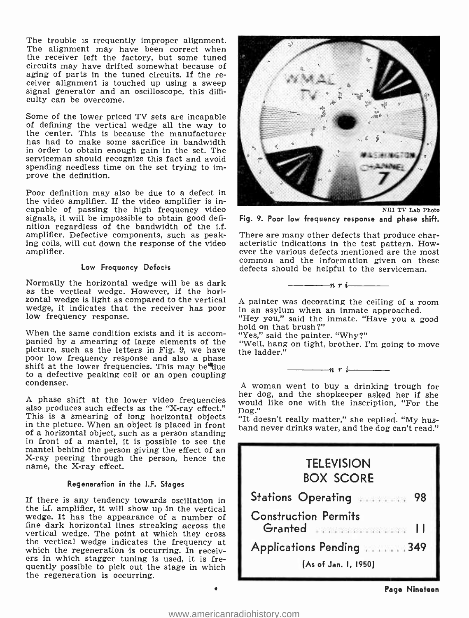The trouble is frequently improper alignment. The alignment may have been correct when the receiver left the factory, but some tuned circuits may have drifted somewhat because of aging of parts in the tuned circuits. If the receiver alignment is touched up using a sweep signal generator and an oscilloscope, this difficulty can be overcome.

Some of the lower priced TV sets are incapable<br>of defining the vertical wedge all the way to the center. This is because the manufacturer has had to make some sacrifice in bandwidth in order to obtain enough gain in the set. The serviceman should recognize this fact and avoid spending needless time on the set trying to improve the definition.

Poor definition may also be due to a defect in the video amplifier. If the video amplifier is incapable of passing the high frequency video signals, it will be impossible to obtain good definition regardless of the bandwidth of the i.f. amplifier. Defective components, such as peak-<br>Ing coils, will cut down the response of the video<br>acteristic indications in the test pattern. How-<br>ever the various defects mentioned are the most amplifier.

#### Low Frequency Defects

Normally the horizontal wedge will be as dark as the vertical wedge. However, if the horizontal wedge is light as compared to the vertical A painter was decorating the ceiling of a room wedge, it indicates that the receiver has poor low frequency response.

"? hold on that brush<br>"When the same condition exists and it is accom-<br>"Well hang on tight paints of the "Well hang on tight picture, such as the letters in Fig. 9, we have the ladder."<br>poor low frequency response and also a phase shift at the lower frequencies. This may bettue to a defective peaking coil or an open coupling condenser.

A phase shift at the lower video frequencies  $\frac{1}{2}$  also produces such effects as the "X-ray effect."  $\frac{1}{2}$  Dog."<br>This is a smearing of long horizontal objects "It do in the picture. When an object is placed in front<br>of a horizontal object, such as a person standing in front of a mantel, it is possible to see the mantel behind the person giving the effect of an X-ray peering through the person, hence the name, the X-ray effect.

#### Regeneration in the I.F. Stages

If there is any tendency towards oscillation in the i.f. amplifier, it will show up in the vertical wedge. It has the appearance of a number of fine dark horizontal lines streaking across the vertical wedge. The point at which they cross the vertical wedge indicates the frequency at which the regeneration is occurring. In receivers in which stagger tuning is used, it is frequently possible to pick out the stage in which the regeneration is occurring.



NRI TV Lab Photo

Fig. 9. Poor low frequency response and phase shift.

There are many other defects that produce charcommon and the information given on these defects should be helpful to the serviceman.

 $-\cdots$ nri $-\cdots$ 

in an asylum when an inmate approached. "Hey you," said the inmate. "Have you a good

"Yes," said the painter. "Why ?"

"Well, hang on tight, brother. I'm going to move

 $-n \rightharpoonup i$ 

A woman went to buy a drinking trough for her dog, and the shopkeeper asked her if she would like one with the inscription, "For the

"It doesn't really matter," she replied. "My husband never drinks water, and the dog can't read."

| <b>TELEVISION</b><br><b>BOX SCORE</b>                             |  |
|-------------------------------------------------------------------|--|
| Stations Operating<br>98                                          |  |
| <b>Construction Permits</b><br>Granted <b>Strategie Bank</b><br>П |  |
| Applications Pending  349                                         |  |
| (As of Jan. 1, 1950)                                              |  |

٠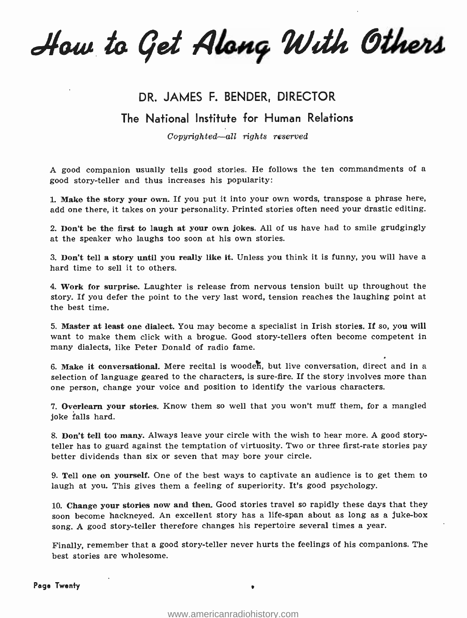How to Get Along With Others

### DR. JAMES F. BENDER, DIRECTOR

### The National Institute for Human Relations

Copyrighted-all rights reserved

A good companion usually tells good stories. He follows the ten commandments of a good story -teller and thus increases his popularity:

1. Make the story your own. If you put it into your own words, transpose a phrase here, add one there, it takes on your personality. Printed stories often need your drastic editing.

2. Don't be the first to laugh at your own jokes. All of us have had to smile grudgingly at the speaker who laughs too soon at his own stories.

3. Don't tell a story until you really like it. Unless you think it is funny, you will have a hard time to sell it to others.

4. Work for surprise. Laughter is release from nervous tension built up throughout the story. If you defer the point to the very last word, tension reaches the laughing point at the best time.

5. Master at least one dialect. You may become a specialist in Irish stories. If so, you will want to make them click with a brogue. Good story -tellers often become competent in many dialects, like Peter Donald of radio fame.

6. Make it conversational. Mere recital is wooden, but live conversation, direct and in a selection of language geared to the characters, is sure-fire. If the story involves more than one person, change your voice and position to identify the various characters.

7. Overlearn your stories. Know them so well that you won't muff them, for a mangled joke falls hard.

8. Don't tell too many. Always leave your circle with the wish to hear more. A good storyteller has to guard against the temptation of virtuosity. Two or three first-rate stories pay better dividends than six or seven that may bore your circle.

9. Tell one on yourself. One of the best ways to captivate an audience is to get them to laugh at you. This gives them a feeling of superiority. It's good psychology.

10. Change your stories now and then. Good stories travel so rapidly these days that they soon become hackneyed. An excellent story has a life -span about as long as a juke -box song. A good story -teller therefore changes his repertoire several times a year.

Finally, remember that a good story- teller never hurts the feelings of his companions. The best stories are wholesome.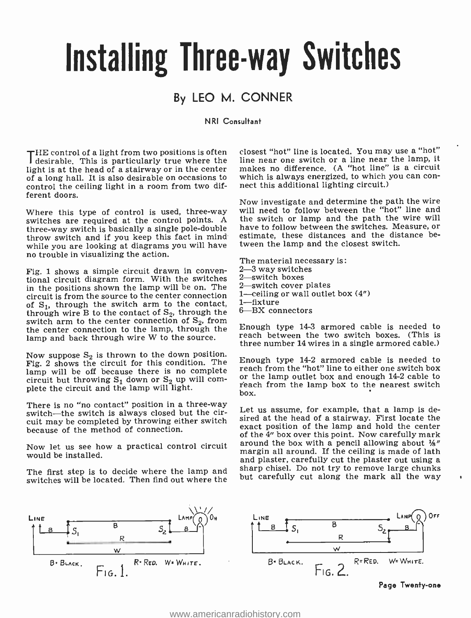## Installing Three -way Switches

## By LEO M. CONNER

#### NRI Consultant

THE control of a light from two positions is often <sup>I</sup>desirable. This is particularly true where the light is at the head of a stairway or in the center of a long hall. It is also desirable on occasions to which is always energized, to which<br>control the ceiling light in a room from two dif- – nect this additional lighting circuit.) control the ceiling light in a room from two different doors.

Where this type of control is used, three-way switches are required at the control points. A the switch or lamp and the path the wire will<br>three-way switch is basically a single pole-double thave to follow between the switches. Measure, or three -way switch is basically a single pole -double throw switch and if you keep this fact in mind while you are looking at diagrams you will have no trouble in visualizing the action.

Fig. 1 shows a simple circuit drawn in conven-  $2-3$  way switches<br>tional circuit diagram form. With the switches  $2$ —switch boxes<br>in the positions shown the lamp will be on The  $2$ —switch cover plates in the positions shown the lamp will be on. The circuit is from the source to the center connection  $1-$ Celling<br>of  $S$  through the switch arm to the contact  $1-$ fixture of  $S_1$ , through the switch arm to the contact, through wire B to the contact of  $S_2$ , through the switch arm to the center connection of  $S_2$ , from the center connection to the lamp, through the lamp and back through wire W to the source.

Now suppose  $S_2$  is thrown to the down position. Fig. 2 shows the circuit for this condition. The lamp will be off because there is no complete reach from the not increase there is  $\frac{1}{2}$  cable to  $\frac{1}{2}$  cable to  $\frac{1}{2}$  cable to  $\frac{1}{2}$  cable to  $\frac{1}{2}$  cable to  $\frac{1}{2}$  cable to  $\frac{1}{2}$  cable to  $\frac{1$ circuit but throwing  $S_1$  down or  $S_2$  up will com-<br>plete the circuit and the lamp will light.

There is no "no contact" position in a three-way switch-the switch is always closed but the circuit may be completed by throwing either switch because of the method of connection.

Now let us see how a practical control circuit would be installed.

The first step is to decide where the lamp and switches will be located. Then find out where the

closest "hot" line is located. You may use a "hot" line near one switch or a line near the lamp, it makes no difference. (A "hot line" is a circuit which is always energized, to which you can con-

Now investigate and determine the path the wire will need to follow between the "hot" line and the switch or lamp and the path the wire will estimate, these distances and the distance between the lamp and the closest switch.

The material necessary is: 1-ceiling or wall outlet box  $(4")$ 6-BX connectors

Enough type 14-3 armored cable is needed to reach between the two switch boxes. (This is three number 14 wires in a single armored cable.)

Enough type 14-2 armored cable is needed to reach from the "hot" line to either one switch box reach from the lamp box to the nearest switch box.

Let us assume, for example, that a lamp is desired at the head of a stairway. First locate the exact position of the lamp and hold the center of the 4" box over this point. Now carefully mark around the box with a pencil allowing about  $\frac{1}{2}$ " margin all around. If the ceiling is made of lath sharp chisel. Do not try to remove large chunks but carefully cut along the mark all the way

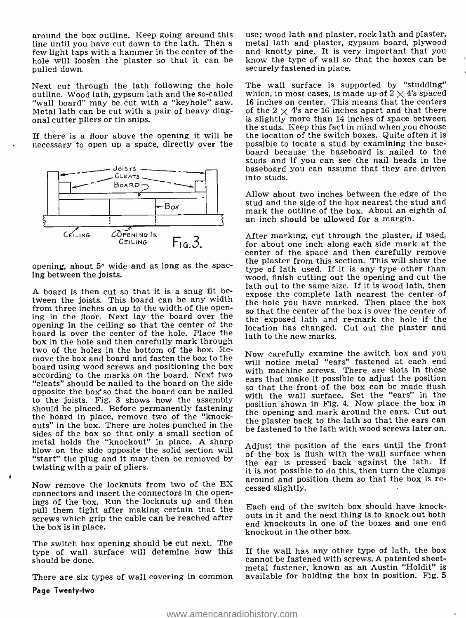around the box outline. Keep going around this use; wood lath and plaster, rock lath and plaster,<br>line until you haye cut down to the lath. Then a - metal lath and plaster, gypsum board, plywood few light taps with a hammer in the center of the hole will loosen the plaster so that it can be pulled down.

Next cut through the lath following the hole outline. Wood lath, gypsum lath and the so-called "wall board" may be cut with a "keyhole" saw. Metal lath can be cut with a pair of heavy diagonal cutter pliers or tin snips.

If there is a floor above the opening it will be necessary to open up a space, directly over the



opening, about 5" wide and as long as the spacing between the joists.

A board is then cut so that it is a snug fit between the joists. This board can be any width from three inches on up to the width of the opening in the floor. Next lay the width of the open-<br>ing in the floor. Next lay the board over the the exposed lath and re-mark the hole if the opening in the ceiling so that the center of the board is over the center of the hole. Place the box in the hole and then carefully mark through two of the holes in the bottom of the box. Re-<br>move the box and board and fasten the box to the board using wood screws and positioning the box according to the marks on the board. Next two "cleats" should be nailed to the board on the side opposite the box' so that the board can be nailed to the joists. Fig. 3 shows how the assembly should be placed. Before permanently fastening the board in place, remove two of the "knockouts" in the box. There are holes punched in the sides of the box so that only a small section of metal holds the "knockout" in place. A sharp blow on the side opposite the solid section will "start" the plug and it may then be removed by twisting with a pair of pliers.

Now remove the locknuts from two of the BX around and possible. connectors and insert the connectors in the openings of the box. Run the locknuts up and then pull them tight after making certain that the screws which grip the cable can be reached after the box is in place.

The switch box opening should be cut next. The type of wall surface will detemine how this If the wall has any other type of lath, the box<br>cannot be fastened with screws. A patented sheetshould be done.

There are six types of wall covering in common

Page Twenty-two

metal lath and plaster, gypsum board, plywood and knotty pine. It is very important that you know the type of wall so that the boxes can be securely fastened in place.

The wall surface is supported by "studding" which, in most cases, is made up of  $2 \times 4$ 's spaced <sup>16</sup>inches on center. This means that the centers of the  $2 \times 4$ 's are 16 inches apart and that there is slightly more than 14 inches of space between the studs. Keep this fact in mind when you choose the location of the switch boxes. Quite often it is possible to locate a stud by examining the baseboard because the baseboard is nailed to the studs and if you can see the nail heads in the baseboard you can assume that they are driven into studs.

Allow about two inches between the edge of the stud and the side of the box nearest the stud and mark the outline of the box. About an eighth of an inch should be allowed for a margin.

After marking, cut through the plaster, if used, for about one inch along each side mark at the center of the space and then carefully remove the plaster from this section. This will show the type of lath used. If it is any type other than wood, finish cutting out the opening and cut the lath out to the same size. If it is wood lath, then expose the complete lath nearest the center of the hole you have marked. Then place the box the exposed lath and re -mark the hole if the location has changed. Cut out the plaster and lath to the new marks.

Now carefully examine the switch box and you will notice metal "ears" fastened at each end with machine screws. There are slots in these ears that make it possible to adjust the position with the wall surface. Set the "ears" in the position shown in Fig. 4. Now place the box in the opening and mark around the ears. Cut out the plaster back to the lath so that the ears can be fastened to the lath with wood screws later on.

Adjust the position of the ears until the front of the box is flush with the wall surface when the ear is pressed back against the lath. If it is not possible to do this, then turn the clamps around and position them so that the box is re-

Each end of the switch box should have knockouts in it and the next thing is to knock out both end knockouts in one of the boxes and one end knockout in the other box.

If the wall has any other type of lath, the box metal fastener, known as an Austin "Holdit" is available for holding the box in position. Fig. 5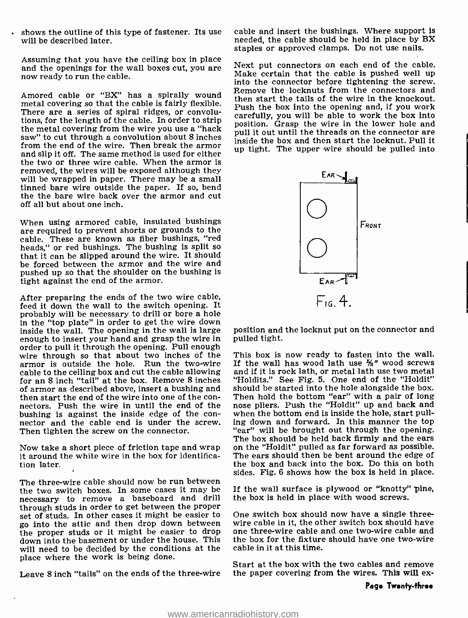shows the outline of this type of fastener. Its use will be described later.

Assuming that you have the ceiling box in place and the openings for the wall boxes cut, you are now ready to run the cable.

metal covering so that the cable is fairly flexible. There are a series of spiral ridges, or convolutions, for the length of the cable. In order to strip the metal covering from the wire you use a "hack saw" to cut through a convolution about 8 inches from the end of the wire. Then break the armor and slip it off. The same method is used for either the two or three wire cable. When the armor is removed, the wires will be exposed although they will be wrapped in paper. There may be a small tinned bare wire outside the paper. If so, bend the the bare wire back over the armor and cut off all but about one inch.

When using armored cable, insulated bushings are required to prevent shorts or grounds to the cable. These are known as fiber bushings, "red heads," or red bushings. The bushing is split so that it can be slipped around the wire. It should that it can be slipped around the wire. It should<br>be forced between the armor and the wire and pushed up so that the shoulder on the bushing is tight against the end of the armor.

After preparing the ends of the two wire cable, feed it down the wall to the switch opening. It probably will be necessary to drill or bore a hole in the "top plate" in order to get the wire down inside the wall. The opening in the wall is large enough to insert your hand and grasp the wire in order to pull it through the opening. Pull enough wire through so that about two inches of the This box is now ready to fasten into the wall.<br>armor is outside the hole. Run the two-wire If the wall has wood lath use  $\frac{1}{2}$  wood screws armor is outside the hole. Run the two-wire cable to the ceiling box and cut the cable allowing for an 8 inch "tail" at the box. Remove 8 inches of armor as described above, insert a bushing and should be started into the hole alongside the box.<br>then start the end of the wire into one of the con-<br>Then hold the bottom "ear" with a pair of long nectors. Push the wire in until the end of the bushing is against the inside edge of the connector and the cable end is under the screw.<br>Then tighten the screw on the connector.

it around the white wire in the box for identification later.

The three-wire cable should now be run between the two switch boxes. In some cases it may be If the wall surface is plywood or "knotty"<br>necessary to remove a baseboard and drill the box is held in place with wood screws. necessary to remove a baseboard and drill through studs in order to get between the proper set of studs. In other cases it might be easier to One switch box should now have a single three-<br>go into the attic and then drop down between wire cable in it, the other switch box should have go into the attic and then drop down between wire cable in it, the other switch box should have<br>the proper studs or it might be easier to drop one three-wire cable and one two-wire cable and the proper studs or it might be easier to drop down into the basement or under the house. This will need to be decided by the conditions at the place where the work is being done.

Leave 8 inch "tails" on the ends of the three-wire

cable and insert the bushings. Where support is needed, the cable should be held in place by BX staples or approved clamps. Do not use nails.

Amored cable or "BX" has a spirally wound Remove the locknuts from the connectors and<br>then start the tails of the wire in the knockout Next put connectors on each end of the cable. Make certain that the cable is pushed well up into the connector before tightening the screw. then start the tails of the wire in the knockout. Push the box into the opening and, if you work carefully, you will be able to work the box into position. Grasp the wire in the lower hole and pull it out until the threads on the connector are inside the box and then start the locknut. Pull it up tight. The upper wire should be pulled into



position and the locknut put on the connector and pulled tight.

Now take a short piece of friction tape and wrap on the "Holdit" pulled as far forward as possible. This box is now ready to fasten into the wall. and if it is rock lath, or metal lath use two metal "Holdits." See Fig. 5. One end of the "Holdit" should be started into the hole alongside the box. nose pliers. Push the "Holdit" up and back and when the bottom end is inside the hole, start pulling down and forward. In this manner the top "ear" will be brought out through the opening. The box should be held back firmly and the ears The ears should then be bent around the edge of the box and back into the box. Do this on both sides. Fig. 6 shows how the box is held in place.

If the wall surface is plywood or "knotty" pine,

One switch box should now have a single threethe box for the fixture should have one two-wire cable in it at this time.

Start at the box with the two cables and remove the paper covering from the wires. This will ex-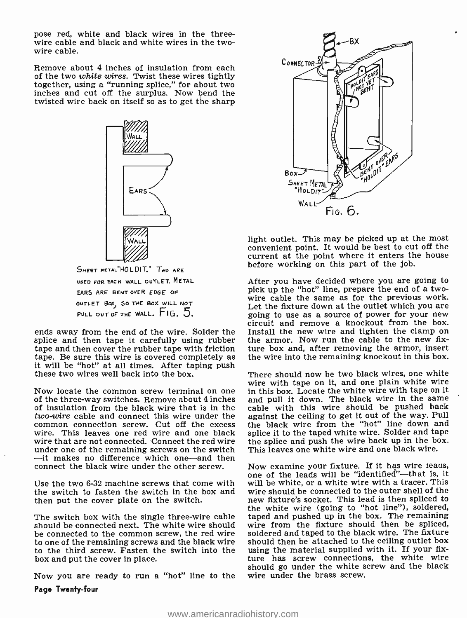pose red, white and black wires in the three-<br>wire cable and black and white wires in the two-<br>wire cable.

Remove about 4 inches of insulation from each<br>of the two white wires. Twist these wires tightly of the two white wires. Twist these wires tightly together, using a "running splice," for about two inches and cut off the surplus. Now bend the twisted wire back on itself so as to get the sharp



USED FOR EACH WALL OUTLET. METAL EARS ARE BENT OVER EDGE OF OUTLET 80Xj 50 THE BOX WILL NOT PULL OUT OF THE WALL. FIG. 5.

splice and then tape it carefully using rubber tape and then cover the rubber tape with friction it will be "hot" at all times. After taping push these two wires well back into the box.

Now locate the common screw terminal on one in this box. Locate the white wire with tape on it of the same of the same of the same of insulation from the black wire that is in the *two-wire* cable and connect this wire under the two connection screw. Cut off the excess<br>wire. This leaves one red wire and one black wire that are not connected. Connect the red wire under one of the remaining screws on the switch - This leaves one white wire and one black wire.<br>-it makes no difference which one -and then<br>connect the black wire under the other screw. Now examine your fixture. If it has connect the black wire under the other screw.

Use the two 6-32 machine screws that come with the switch to fasten the switch in the box and wire should be connected to the outer shell of the<br>then put the cover plate on the switch. This lead is then spliced to then put the cover plate on the switch.

The switch box with the single three-wire cable should be connected next. The white wire should be connected to the common screw, the red wire to one of the remaining screws and the black wire to the third screw. Fasten the switch into the box and put the cover in place.

Now you are ready to run a "hot" line to the Page Twenty -four



light outlet. This may be picked up at the most convenient point. It would be best to cut off the current at the point where it enters the house before working on this part of the job.

ends away from the end of the wire. Solder the Install the new wire and tighten the clamp on After you have decided where you are going to pick up the "hot" line, prepare the end of a twowire cable the same as for the previous work. Let the fixture down at the outlet which you are going to use as a source of power for your new circuit and remove a knockout from the box. the armor. Now run the cable to the new fixture box and, after removing the armor, insert the wire into the remaining knockout in this box.

> There should now be two black wires, one white wire with tape on it, and one plain white wire in this box. Locate the white wire with tape on it cable with this wire should be pushed back against the ceiling to get it out of the way. Pull the black wire from the "hot" line down and splice it to the taped white wire. Solder and tape the splice and push the wire back up in the box. This leaves one white wire and one black wire.

one of the leads will be "identified"--that is, it will be white, or a white wire with a tracer. This wire should be connected to the outer shell of the the white wire (going to "hot line"), soldered, taped and pushed up in the box. The remaining wire from the fixture should then be spliced, soldered and taped to the black wire. The fixture should then be attached to the ceiling outlet box using the material supplied with it. If your fixture has screw connections, the white wire should go under the white screw and the black wire under the brass screw.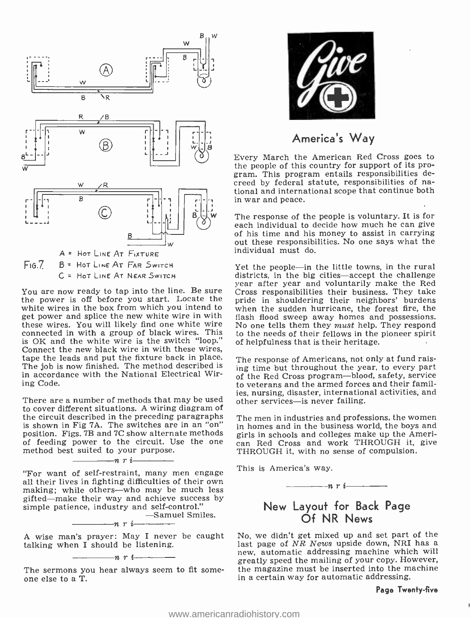

You are now ready to tap into the line. Be sure the power is off before you start. Locate the white wires in the box from which you intend to get power and splice the new white wire in with these wires. You will likely find one white wire connected in with a group of black wires. This is OK and the white wire is the switch "loop." Connect the new black wire in with these wires, tape the leads and put the fixture back in place. The job is now finished. The method described is in accordance with the National Electrical Wiring Code.

There are a number of methods that may be used to cover different situations. A wiring diagram of the circuit described in the preceding paragraphs The men in industries and professions, the women<br>is shown in Fig 7A. The switches are in an "on"  $\frac{1}{2}$  in homes and in the business world, the boys and is shown in Fig 7A. The switches are in an "on"  $\frac{1}{10}$  homes and in the business world, the boys and position. Figs. 7B and 7C show alternate methods girls in schools and colleges make up the Ameriposition. Figs. 7B and 7C show alternate methods of feeding power to the circuit. Use the one method best suited to your purpose.<br>  $\frac{1}{2}$   $\frac{n \cdot \frac{1}{n}}{n \cdot \frac{1}{n}}$ 

"For want of self-restraint, many men engage all their lives in fighting difficulties of their own making; while others--who may be much less gifted—make their way and achieve success by simple patience, industry and self-control."

 $-$ Samuel Smiles.<br> $-n \r i$ 

A wise man's prayer: May I never be caught talking when I should be listening.

 $-n$  r  $i-$ The sermons you hear always seem to fit some-<br>one else to a T.



## America's Way

Every March the American Red Cross goes to the people of this country for support of its program. This program entails responsibilities detional and international scope that continue both in war and peace.

The response of the people is voluntary. It is for each individual to decide how much he can give of his time and his money to assist in carrying out these responsibilities. No one says what the individual must do.

Yet the people—in the little towns, in the rural districts, in the big cities—accept the challenge year after year and voluntarily make the Red Cross responsibilities their business. They take pride in shouldering their neighbors' burdens when the sudden hurricane, the forest fire, the flash flood sweep away homes and possessions. No one tells them they *must* help. They respond to the needs of their fellows in the pioneer spirit of helpfulness that is their heritage.

The response of Americans, not only at fund raising time but throughout the year, to every part of the Red Cross program-blood, safety, service to veterans and the armed forces and their families, nursing, disaster, international activities, and other services-is never failing.

The men in industries and professions, the women can Red Cross and work THROUGH it, give THROUGH it, with no sense of compulsion.

This is America's way.

$$
\overline{\phantom{1}}
$$

## New Layout for Back Page Of NR News

No, we didn't get mixed up and set part of the last page of NR News upside down, NRI has a new, automatic addressing machine which will greatly speed the mailing of your copy. However, the magazine must be inserted into the machine in a certain way for automatic addressing.

#### Page Twenty -five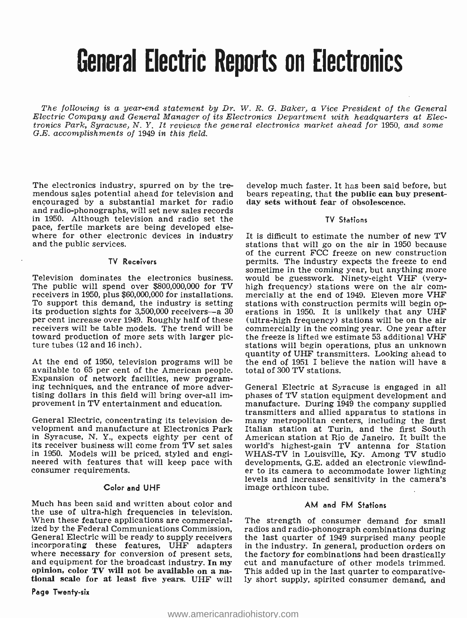## General Electric Reports on Electronics

The following is a year-end statement by Dr. W. R. G. Baker, a Vice President of the General Electric Company and General Manager of its Electronics Department with headquarters at Electronics Park, Syracuse, N. Y. It reviews the general electronics market ahead for 1950, and some<br>G.E. accomplishments of 1949 in this field.

The electronics industry, spurred on by the tremendous sales potential ahead for television and bears repeating, that the public can buy<br>encouraged by a substantial market for radio day sets without fear of obsolescence. encouraged by a substantial market for radio and radio -phonographs, will set new sales records in 1950. Although television and radio set the pace, fertile markets are being developed elsewhere for other electronic devices in industry and the public services.

#### TV Receivers

The public will spend over \$800,000,000 for TV high frequency) stations were on the air com-<br>receivers in 1950, plus \$60,000,000 for installations. mercially at the end of 1949. Eleven more VHF receivers in 1950, plus \$60,000,000 for installations. mercially at the end of 1949. Eleven more VHF<br>To support this demand, the industry is setting stations with construction permits will begin opits production sights for  $3,500,000$  receivers -a 30 per cent increase over 1949. Roughly half of these receivers will be table models. The trend will be toward production of more sets with larger picture tubes (12 and 16 inch).

At the end of 1950, television programs will be the end of 1951 I believ available to 65 per cent of the American people. total of 300 TV stations. available to 65 per cent of the American people.<br>Expansion of network facilities, new program-<br>ing techniques, and the entrance of more advertising dollars in this field will bring over-all im-

General Electric, concentrating its television development and manufacture at Electronics Park in Syracuse, N. Y., expects eighty per cent of its receiver business will come from TV set sales in 1950. Models will be priced, styled and engi-  $\,$  WHAS-TV in Louisville, Ky. Among TV studio neered with features that will keep pace with developments, G.E. added an electronic viewfindconsumer requirements.

#### Color and UHF

Much has been said and written about color and the use of ultra -high frequencies in television. When these feature applications are commercial-General Electric will be ready to supply receivers the last quarter of 1949 surprised many people incorporating these features, UHF adapters in the industry. In general, production orders on where necessary for conversion of present sets, the factory for combinations had been drastically and equipment for the broadcas

Page Twenty-six

develop much faster. It has been said before, but bears repeating, that the public can buy present-

#### TV Stations

sometime in the coming year, but anything more<br>Television dominates the electronics business. would be guesswork. Ninety-eight VHF (very-<br>The public will spend over \$800,000,000 for TV high frequency) stations were on the It is difficult to estimate the number of new TV stations that will go on the air in 1950 because of the current FCC freeze on new construction permits. The industry expects the freeze to end would be guesswork. Ninety-eight VHF (veryerations in 1950. It is unlikely that any UHF (ultra -high frequency) stations will be on the air commercially in the coming year. One year after the freeze is lifted we estimate 53 additional VHF stations will begin operations, plus an unknown quantity of UHF transmitters. Looking ahead to the end of  $1951$  I believe the nation will have a

provement in TV entertainment and education. The manufacture. During 1949 the company supplied<br>transmitters and allied apparatus to stations in General Electric at Syracuse is engaged in all phases of TV station equipment development and manufacture. During 1949 the company supplied many metropolitan centers, including the first Italian station at Turin, and the first South American station at Rio de Janeiro. It built the world's highest-gain TV antenna for Station WHAS-TV in Louisville, Ky. Among TV studio er to its camera to accommodate lower lighting<br>levels and increased sensitivity in the camera's image orthicon tube.

#### AM and FM Stations

The strength of consumer demand for small radios and radio-phonograph combinations during This added up in the last quarter to comparative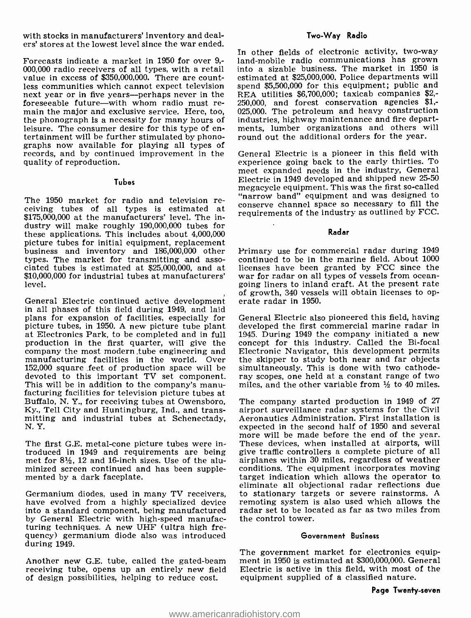with stocks in manufacturers' inventory and dealers' stores at the lowest level since the war ended.

Forecasts indicate a market in 1950 for over 9,- 000,000 radio receivers of all types, with a retail value in excess of \$350,000,000. There are countless communities which cannot expect television next year or in five years--perhaps never in the foreseeable future—with whom radio must re-<br>main the major and exclusive service. Here, too, the phonograph is a necessity for many hours of<br>leisure. The consumer desire for this type of entertainment will be further stimulated by phono-<br>graphs now available for playing all types of records, and by continued improvement in the quality of reproduction.

#### **Tubes**

The 1950 market for radio and television re-<br>ceiving tubes of all types is estimated at construe channel space so necessary to fill the<br>ceiving outlined by FCC \$175,000,000 at the manufacturers' level. The industry will make roughly 190,000,000 tubes for these applications. This includes about 4,000,000 picture tubes for initial equipment, replacement business and inventory and 186,000,000 other types. The market for transmitting and asso- ciated tubes is estimated at \$25,000,000, and at ciated tubes is estimated at \$25,000,000, and at licenses have been granted by FCC since the  $$10,000,000$  for industrial tubes at manufacturers' war for radar on all types of vessels from oceanlevel.

General Electric continued active development in all phases of this field during 1949, and laid plans for expansion of facilities, especially for picture tubes, in 1950. A new picture tube plant at Electronics Park, to be completed and in full 1945. During 1949 the company initiated a new<br>production in the first quarter, will give the concept for this industry. Called the Bi-focal production in the first quarter, will give the company the most modern tube engineering and Electronic Navigator, this development permits manufacturing facilities in the world. Over the skipper to study both near and far objects manufacturing facilities in the world. Over the skipper to study both near and far objects 152,000 square feet of production space will be simultaneously. This is done with two cathode-152,000 square feet of production space will be simultaneously. This is done with two cathode-<br>devoted to this important TV set component. ray scopes, one held at a constant range of two devoted to this important TV set component.<br>This will be in addition to the company's manu-<br>facturing facilities for television picture tubes at Buffalo, N. Y., for receiving tubes at Owensboro, Ky., Tell City and Huntingburg, Ind., and transmitting and industrial tubes at Schenectady, N. Y.

The first G.E. metal-cone picture tubes were introduced in 1949 and requirements are being met for  $8\frac{1}{2}$ , 12 and 16-inch sizes. Use of the aluminized screen continued and has been supple- mented by a dark faceplate.

Germanium diodes, used in many TV receivers, have evolved from a highly specialized device into a standard component, being manufactured by General Electric with high-speed manufacturing techniques. A new UHF (ultra high frequency) germanium diode also was introduced during 1949.

Another new G.E. tube, called the gated-beam receiving tube, opens up an entirely new field of design possibilities, helping to reduce cost.

#### Two -Way Radio

In other fields of electronic activity, two-way land-mobile radio communications has grown into a sizable business. The market in 1950 is estimated at \$25,000,000. Police departments will spend \$5,500,000 for this equipment; public and REA utilities \$6,700,000; taxicab companies \$2,- 250,000, and forest conservation agencies \$1,- 025,000. The petroleum and heavy construction industries, highway maintenance and fire departments, lumber organizations and others will round out the additional orders for the year.

General Electric is a pioneer in this field with experience going back to the early thirties. To meet expanded needs in the industry, General Electric in 1949 developed and shipped new 25 -50 megacycle equipment. This was the first so-called "narrow band" equipment and was designed to requirements of the industry as outlined by FCC.

Radar

Primary use for commercial radar during 1949 continued to be in the marine field. About 1000 licenses have been granted by FCC since the going liners to inland craft. At the present rate of growth, 340 vessels will obtain licenses to operate radar in 1950.

General Electric also pioneered this field, having developed the first commercial marine radar in 1945. During 1949 the company initiated a new Electronic Navigator, this development permits miles, and the other variable from  $\frac{1}{2}$  to 40 miles.

The company started production in 1949 of 27 airport surveillance radar systems for the Civil Aeronautics Administration. First installation is expected in the second half of 1950 and several more will be made before the end of the year. These devices, when installed at airports, will give traffic controllers a complete picture of all airplanes within 30 miles, regardless of weather conditions. The equipment incorporates moving target indication which allows the operator to . eliminate all objectional radar reflections due to stationary targets or severe rainstorms. A remoting system is also used which allows the radar set to be located as far as two miles from the control tower.

#### Government Business

The government market for electronics equipment in 1950 is estimated at \$300,000,000. General Electric is active in this field, with most of the equipment supplied of a classified nature.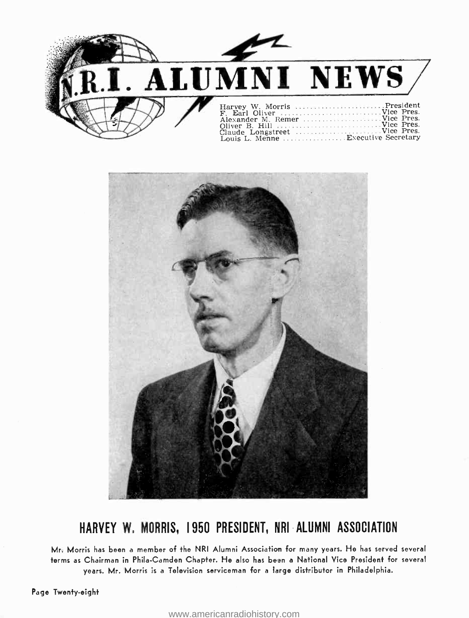



## HARVEY W, MORRIS, 1950 PRESIDENT, NRI ALUMNI ASSOCIATION

Mr. Morris has been a member of the NRI Alumni Association for many years. He has served several terms as Chairman in Phila-Camden Chapter. He also has been a National Vice President for several years. Mr. Morris is a Television serviceman for a large distributor in Philadelphia.

Page Twenty-eight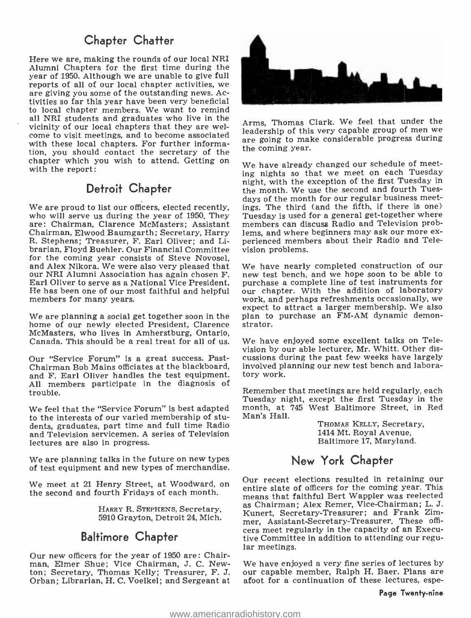## Chapter Chatter

Here we are, making the rounds of our local NRI Alumni Chapters for the first time during the year of 1950. Although we are unable to give full reports of all of our local chapter activities, we are giving you some of the outstanding news. Activities so far this year have been very beneficial to local chapter members. We want to remind all NRI students and graduates who live in the vicinity of our local chapters that they are wel-<br>come to visit meetings, and to become associated<br>are going to make considerable progress during with these local chapters. For further information, you should contact the secretary of the chapter which you wish to attend. Getting on with the report:

## Detroit Chapter

We are proud to list our officers, elected recently, who will serve us during the year of 1950. They are: Chairman, Clarence McMasters; Assistant members can discuss Radio and Television prob-<br>Chairman, Elwood Baumgarth; Secretary, Harry lems, and where beginners may ask our more ex-Chairman, Elwood Baumgarth; Secretary, Harry R. Stephens; Treasurer, F. Earl Oliver; and Librarian, Floyd Buehler. Our Financial Committee for the coming year consists of Steve Novosel,<br>and Alex Nikora. We were also very pleased that our NRI Alumni Association has again chosen F. new test bench, and we hope soon to be able to Earl Oliver to serve as a National Vice President. purchase a complete line of test instruments for<br>He has been one of our most faithful and helpful our chapter. With the addition of laboratory He has been one of our most faithful and helpful members for many years.

We are planning a social get together soon in the home of our newly elected President, Clarence McMasters, who lives in Amherstburg, Ontario, Canada. This should be a real treat for all of us.

Our "Service Forum" is a great success. Past-Chairman Bob Mains officiates at the blackboard, and F. Earl Oliver handles the test equipment. All members participate in the diagnosis of trouble.

We feel that the "Service Forum" is best adapted to the interests of our varied membership of students, graduates, part time and full time Radio and Television servicemen. A series of Television lectures are also in progress.

We are planning talks in the future on new types of test equipment and new types of merchandise.

5910 Grayton, Detroit 24, Mich.

## Baltimore Chapter

Our new officers for the year of 1950 are: Chairman, Elmer Shue; Vice Chairman, J. C. Newton; Secretary, Thomas Kelly; Treasurer, F. J. our capable member, Ralph H. Baer. Plans are Orban; Librarian, H. C. Voelkel; and Sergeant at



Arms, Thomas Clark. We feel that under the leadership of this very capable group of men we the coming year.

We have already changed our schedule of meeting nights so that we meet on each Tuesday night, with the exception of the first Tuesday in the month. We use the second and fourth Tuesdays of the month for our regular business meetings. The third (and the fifth, if there is one) Tuesday is used for a general get-together where members can discuss Radio and Television probperienced members about their Radio and Television problems.

We have nearly completed construction of our purchase a complete line of test instruments for work, and perhaps refreshments occasionally, we expect to attract a larger membership. We also plan to purchase an FM-AM dynamic demonstrator.

We have enjoyed some excellent talks on Television by our able lecturer, Mr. Whitt. Other discussions during the past few weeks have largely involved planning our new test bench and laboratory work.

Remember that meetings are held regularly, each Tuesday night, except the first Tuesday in the month, at 745 West Baltimore Street, in Red Man's Hall.

> THOMAS KELLY, Secretary, 1414 Mt. Royal Avenue, Baltimore 17, Maryland.

## New York Chapter

We meet at 21 Henry Street, at Woodward, on Our recent elections resulted in retaining our the second and fourth Fridays of each month.<br>The second and fourth Fridays of each month. The means that faithful Bert Wappler was HARRY R. STEPHENS, Secretary, as Chairman; Alex Remer, Vice-Chairman; L. J. entire slate of officers for the coming year. This Kunert, Secretary-Treasurer; and Frank Zimmer, Assistant -Secretary- Treasurer. These offi- cers meet regularly in the capacity of an Executive Committee In addition to attending our regu- lar meetings.

> We have enjoyed a very fine series of lectures by afoot for a continuation of these lectures, espe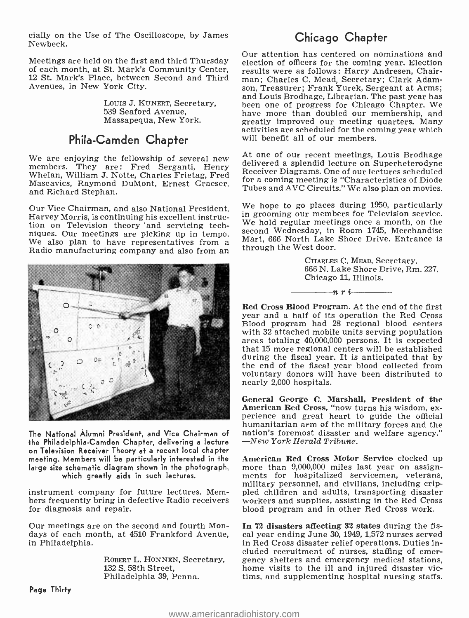cially on the Use of The Oscilloscope, by James Newbeck.

Meetings are held on the first and third Thursday of each month, at St. Mark's Community Center, 12 St. Mark's Place, between Second and Third Avenues, in New York City.

> Louis J. KuNERT, Secretary, 539 Seaford Avenue, Massapequa, New York.

## Phila-Camden Chapter

Mascavics, Raymond DuMont, Ernest Graeser, and Richard Stephan.

Our Vice Chairman, and also National President, Harvey Morris, is continuing his excellent instruction on Television theory 'and servicing techniques. Our meetings are picking up in tempo. We also plan to have representatives from a Radio manufacturing company and also from an



The National Alumni President, and Vice Chairman of antion's foremost disaster a<br>the Philadelphia-Camden Chapter, delivering a lecture  $\begin{array}{cc} -New York Herald Tribune. \end{array}$ the Philadelphia-Camden Chapter, delivering a lecture on Television Receiver Theory at a recent local chapter meeting. Members will be particularly interested in the American Red Cross Motor Service clocked up<br>large size schematic diagram shown in the photograph, more than 9,000,000 miles last year on assignlarge size schematic diagram shown in the photograph, which greatly aids in such lectures.

instrument company for future lectures. Members frequently bring in defective Radio receivers for diagnosis and repair.

Our meetings are on the second and fourth Mondays of each month, at 4510 Frankford Avenue, in Philadelphia.

Philadelphia 39, Penna.

## Chicago Chapter

Our attention has centered on nominations and election of officers for the coming year. Election results were as follows: Harry Andresen, Chairman; Charles C. Mead, Secretary; Clark Adamson, Treasurer; Frank Yurek, Sergeant at Arms; and Louis Brodhage, Librarian. The past year has been one of progress for Chicago Chapter. We have more than doubled our membership, and<br>greatly improved our meeting quarters. Many activities are scheduled for the coming year which will benefit all of our members.

We are enjoying the fellowship of several new metally of several new members. They are: Fred Serganti, Henry delivered a splendid lecture on Superheterodyne members. They are: Fred Serganti, Henry Receiver Diagrams. One of Receiver Diagrams. One of our lectures scheduled for a coming meeting is "Characteristics of Diode Tubes and AVC Circuits." We also plan on movies.

> We hope to go places during 1950, particularly in grooming our members for Television service. We hold regular meetings once a month, on the second Wednesday, in Room 1745, Merchandise Mart, 666 North Lake Shore Drive. Entrance is through the West door.

> > CHARLES C. MEAD, Secretary, 666 N. Lake Shore Drive, Rm. 227, Chicago 11, Illinois.

Red Cross Blood Program. At the end of the first year and a half of its operation the Red Cross Blood program had 28 regional blood centers with 32 attached mobile units serving population<br>areas totaling 40,000,000 persons. It is expected that 15 more regional centers will be established during the fiscal year. It is anticipated that by the end of the fiscal year blood collected from voluntary donors will have been distributed to nearly 2,000 hospitals.

 $-n r i$ 

General George C. Marshall, President of the American Red Cross, "now turns his wisdom, ex- perience and great heart to guide the official humanitarian arm of the military forces and the nation's foremost disaster and welfare agency."

American Red Cross Motor Service clocked up ments for hospitalized servicemen, veterans, military personnel, and civilians, including crippled children and adults, transporting disaster workers and supplies, assisting in the Red Cross blood program and in other Red Cross work.

ROBERT L. HONNEN, Secretary, gency shelters and emergency medical stations,<br>132 S. 58th Street, home visits to the ill and injured disaster vic-In 72 disasters affecting 82 states during the fiscal year ending June 30, 1949, 1,572 nurses served in Red Cross disaster relief operations. Duties included recruitment of nurses, staffing of emerhome visits to the ill and injured disaster victims, and supplementing hospital nursing staffs.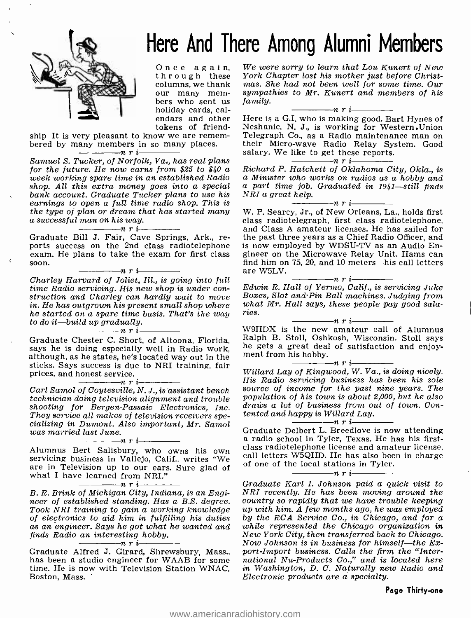

## Here And There Among Alumni Members

our many mem-<br>bers who sent us<br>holiday cards, calendars and other

tokens of friend-<br>ship It is very pleasant to know we are remembered by many members in so many places.<br> $\overline{n}$   $\overline{n}$   $\overline{n}$   $\overline{n}$   $\overline{n}$ 

Samuel S. Tucker, of Norfolk, Va., has real plans<br>for the future. He now earns from \$25 to \$40 a Richard P. Hatchett of Oklahoma City, Okla., is<br>week working spare time in an established Radio a Minister who works on radi week working spare time in an established Radio a Minister who works on radios as a hobby and<br>shop. All this extra money goes into a special a part time job. Graduated in 1941—still finds bank account. Graduate Tucker plans to use his earnings to open a full time radio shop. This is the type of plan or dream that has started many<br>a successful man on his way.<br>Graduate Bill J. Fair, Cave Springs, Ark., re-

ports success on the 2nd class radiotelephone<br>exam. He plans to take the exam for first class soon.<br> $\overline{\phantom{a}}$   $\overline{\phantom{a}}$   $\overline{\phantom{a}}$   $\overline{\phantom{a}}$   $\overline{\phantom{a}}$   $\overline{\phantom{a}}$   $\overline{\phantom{a}}$   $\overline{\phantom{a}}$   $\overline{\phantom{a}}$   $\overline{\phantom{a}}$ 

Charley Harvard of Joliet, Ill., is going into full time Radio servicing. His new shop is under con-<br>struction and Charley can hardly wait to move in.<br>He has outgrown his present small shop where in.<br>he started on a spare time basis. That's the way ries. he started on a spare time basis. That's the way to do it -build up gradually. nri

Graduate Chester C. Short, of Altoona, Florida, Ralph B. Stoll, Oshkosh, Wisconsin. Stoll says says he is doing especially well in Radio work, he gets a great deal of satisfaction and enjoysays he is doing especially well in Radio work, ment from his hobby.<br>although, as he states, he's located way out in the ment from his hobby. sticks. Says success is due to NRI training, fair prices, and honest service.<br> $\frac{1}{n}$   $\frac{n+1}{n}$ 

Carl Samol of Coytesville, N. J., is assistant bench technician doing television alignment and trouble shooting for Bergen-Passaic Electronics, Inc.<br>They service all makes of television receivers specializing in Dumont. Also important, Mr. Samol was married last June.

are in Television up to our ears. Sure glad of what I have learned from NRI."<br> $\frac{m}{1}$   $\frac{m}{1}$   $\frac{m}{1}$ 

 $-n r i$ 

B. R. Brink of Michigan City, Indiana, is an Engineer of established standing. Has a B.S. degree. Took NRI training to gain a working knowledge as an engineer. Says he got what he wanted and finds Radio an interesting hobby.<br> $\frac{m}{2}$   $\frac{m}{2}$   $\frac{m}{2}$   $\frac{m}{2}$ 

Graduate Alfred J. Girard, Shrewsbury, Mass., has been a studio engineer for WAAB for some time. He is now with Television Station WNAC, Boston, Mass.

Once again, We were sorry to learn that Lou Kunert of New<br>through these York Chapter lost his mother just before Christ-<br>columns, we thank mas. She had not been well for some time. Our We were sorry to learn that Lou Kunert of New mas. She had not been well for some time. Our sympathies to Mr. Kunert and members of his family. family.<br> $\frac{1}{\sqrt{1-\frac{1}{n}}}\frac{1}{\sqrt{1-\frac{1}{n}}}}$ 

Here is a G.I. who is making good. Bart Hynes of Neshanic, N. J., is working for Western .Union Telegraph Co., as a Radio maintenance man on their Micro -wave Radio Relay System. Good salary. We like to get these reports.<br> $\frac{m}{1-\frac{1}{n}}$   $\frac{n}{1-\frac{1}{n}}$ 

Richard P. Hatchett of Oklahoma City, Okla., is  $NRI$  a great help.<br> $\overline{\qquad \qquad }$  n r i

W. P. Searcy, Jr., of New Orleans, La., holds first class radiotelegraph, first class radiotelephone, and Class A amateur licenses. He has sailed for the past three years as a Chief Radio Officer, and is now employed by WDSU-TV as an Audio Engineer on the Microwave Relay Unit. Hams can find him on 75, 20, and 10 meters—his call letters are W5LV.

are W5LV.<br>  $R$ . Hall of Yermo, Calif., is servicing Juke Boxes, Slot and Pin Ball machines. Judging from what Mr. Hall says, these people pay good sala-

ries.<br>
W9HDX is the new amateur call of Alumnus Ralph B. Stoll, Oshkosh, Wisconsin. Stoll says<br>he gets a great deal of satisfaction and enjoy-<br>ment from his hobby.<br> $n \dot{r}$  i

Willard Lay of Kingwood, W. Va., is doing nicely. source of income for the past nine years. The population of his town is about 2,000, but he also draws a lot of business from out of town. Contented and happy is Willard Lay.<br>  $\frac{1}{\sqrt{1-\frac{1}{n}}}\prod_{i=1}^{n}$ 

Alumnus Bert Salisbury, who owns his own class radiotelephone license and amateur license,<br>servicing business in Vallejo, Calif., writes "We call letters W5QHD. He has also been in charge<br>are in Television up to our oppe Graduate Delbert L. Breedlove is now attending a radio school in Tyler, Texas. He has his firstcall letters W5QHD. He has also been in charge<br>of one of the local stations in Tyler.<br> $\frac{n}{1}$   $\frac{n}{1}$   $\frac{n}{1}$   $\frac{n}{1}$ 

Graduate Karl I. Johnson paid a quick visit to NRI recently. He has been moving around the country so rapidly that we have trouble keeping up with him. A few months ago, he was employed by the RCA Service Co., in Chicago, and for a while represented the Chicago organization in New York City, then transferred back to Chicago.<br>Now Johnson is in business for himself—the Export-Import business. Calls the firm the "International Nu-Products Co.," and is located here in Washington, D. C. Naturally new Radio and Electronic products are a specialty.